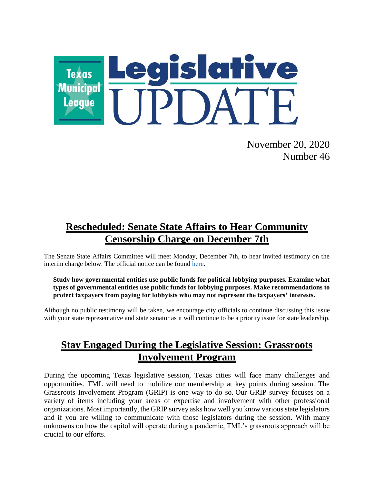

November 20, 2020 Number 46

# **Rescheduled: Senate State Affairs to Hear Community Censorship Charge on December 7th**

The Senate State Affairs Committee will meet Monday, December 7th, to hear invited testimony on the interim charge below. The official notice can be found [here.](https://capitol.texas.gov/tlodocs/86R/schedules/pdf/C5702020120710001.PDF)

#### **Study how governmental entities use public funds for political lobbying purposes. Examine what types of governmental entities use public funds for lobbying purposes. Make recommendations to protect taxpayers from paying for lobbyists who may not represent the taxpayers' interests.**

Although no public testimony will be taken, we encourage city officials to continue discussing this issue with your state representative and state senator as it will continue to be a priority issue for state leadership.

## **Stay Engaged During the Legislative Session: Grassroots Involvement Program**

During the upcoming Texas legislative session, Texas cities will face many challenges and opportunities. TML will need to mobilize our membership at key points during session. The Grassroots Involvement Program (GRIP) is one way to do so. Our GRIP survey focuses on a variety of items including your areas of expertise and involvement with other professional organizations. Most importantly, the GRIP survey asks how well you know various state legislators and if you are willing to communicate with those legislators during the session. With many unknowns on how the capitol will operate during a pandemic, TML's grassroots approach will be crucial to our efforts.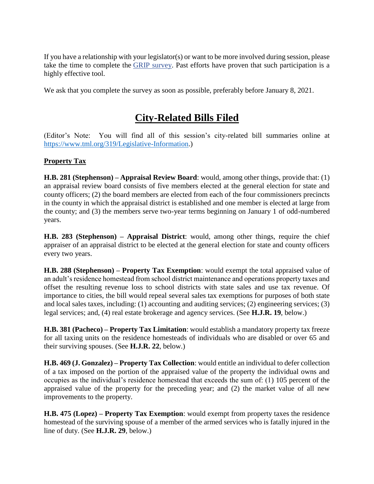If you have a relationship with your legislator(s) or want to be more involved during session, please take the time to complete the [GRIP survey.](https://tml.co1.qualtrics.com/jfe/form/SV_bynhW1yMazt7rV3) Past efforts have proven that such participation is a highly effective tool.

We ask that you complete the survey as soon as possible, preferably before January 8, 2021.

## **City-Related Bills Filed**

(Editor's Note: You will find all of this session's city-related bill summaries online at [https://www.tml.org/319/Legislative-Information.](https://www.tml.org/319/Legislative-Information))

## **Property Tax**

**H.B. 281 (Stephenson) – Appraisal Review Board**: would, among other things, provide that: (1) an appraisal review board consists of five members elected at the general election for state and county officers; (2) the board members are elected from each of the four commissioners precincts in the county in which the appraisal district is established and one member is elected at large from the county; and (3) the members serve two-year terms beginning on January 1 of odd-numbered years.

**H.B. 283 (Stephenson) – Appraisal District**: would, among other things, require the chief appraiser of an appraisal district to be elected at the general election for state and county officers every two years.

**H.B. 288 (Stephenson) – Property Tax Exemption**: would exempt the total appraised value of an adult's residence homestead from school district maintenance and operations property taxes and offset the resulting revenue loss to school districts with state sales and use tax revenue. Of importance to cities, the bill would repeal several sales tax exemptions for purposes of both state and local sales taxes, including: (1) accounting and auditing services; (2) engineering services; (3) legal services; and, (4) real estate brokerage and agency services. (See **H.J.R. 19**, below.)

**H.B. 381 (Pacheco) – Property Tax Limitation**: would establish a mandatory property tax freeze for all taxing units on the residence homesteads of individuals who are disabled or over 65 and their surviving spouses. (See **H.J.R. 22**, below.)

**H.B. 469 (J. Gonzalez) – Property Tax Collection**: would entitle an individual to defer collection of a tax imposed on the portion of the appraised value of the property the individual owns and occupies as the individual's residence homestead that exceeds the sum of: (1) 105 percent of the appraised value of the property for the preceding year; and (2) the market value of all new improvements to the property.

**H.B. 475 (Lopez) – Property Tax Exemption**: would exempt from property taxes the residence homestead of the surviving spouse of a member of the armed services who is fatally injured in the line of duty. (See **H.J.R. 29**, below.)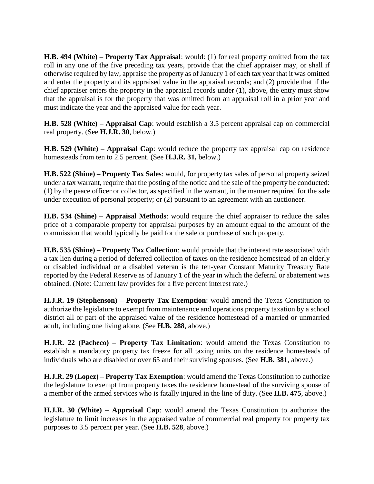**H.B. 494 (White) – Property Tax Appraisal**: would: (1) for real property omitted from the tax roll in any one of the five preceding tax years, provide that the chief appraiser may, or shall if otherwise required by law, appraise the property as of January 1 of each tax year that it was omitted and enter the property and its appraised value in the appraisal records; and (2) provide that if the chief appraiser enters the property in the appraisal records under (1), above, the entry must show that the appraisal is for the property that was omitted from an appraisal roll in a prior year and must indicate the year and the appraised value for each year.

**H.B. 528 (White) – Appraisal Cap**: would establish a 3.5 percent appraisal cap on commercial real property. (See **H.J.R. 30**, below.)

**H.B. 529 (White) – Appraisal Cap**: would reduce the property tax appraisal cap on residence homesteads from ten to 2.5 percent. (See **H.J.R. 31,** below.)

**H.B. 522 (Shine) – Property Tax Sales**: would, for property tax sales of personal property seized under a tax warrant, require that the posting of the notice and the sale of the property be conducted: (1) by the peace officer or collector, as specified in the warrant, in the manner required for the sale under execution of personal property; or (2) pursuant to an agreement with an auctioneer.

**H.B. 534 (Shine) – Appraisal Methods**: would require the chief appraiser to reduce the sales price of a comparable property for appraisal purposes by an amount equal to the amount of the commission that would typically be paid for the sale or purchase of such property.

**H.B. 535 (Shine) – Property Tax Collection**: would provide that the interest rate associated with a tax lien during a period of deferred collection of taxes on the residence homestead of an elderly or disabled individual or a disabled veteran is the ten-year Constant Maturity Treasury Rate reported by the Federal Reserve as of January 1 of the year in which the deferral or abatement was obtained. (Note: Current law provides for a five percent interest rate.)

**H.J.R. 19 (Stephenson) – Property Tax Exemption**: would amend the Texas Constitution to authorize the legislature to exempt from maintenance and operations property taxation by a school district all or part of the appraised value of the residence homestead of a married or unmarried adult, including one living alone. (See **H.B. 288**, above.)

**H.J.R. 22 (Pacheco) – Property Tax Limitation**: would amend the Texas Constitution to establish a mandatory property tax freeze for all taxing units on the residence homesteads of individuals who are disabled or over 65 and their surviving spouses. (See **H.B. 381**, above.)

**H.J.R. 29 (Lopez) – Property Tax Exemption**: would amend the Texas Constitution to authorize the legislature to exempt from property taxes the residence homestead of the surviving spouse of a member of the armed services who is fatally injured in the line of duty. (See **H.B. 475**, above.)

**H.J.R. 30 (White) – Appraisal Cap**: would amend the Texas Constitution to authorize the legislature to limit increases in the appraised value of commercial real property for property tax purposes to 3.5 percent per year. (See **H.B. 528**, above.)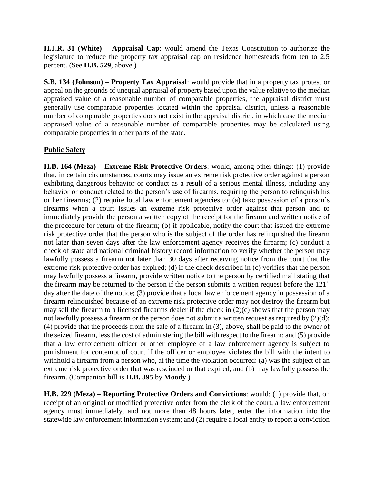**H.J.R. 31 (White) – Appraisal Cap**: would amend the Texas Constitution to authorize the legislature to reduce the property tax appraisal cap on residence homesteads from ten to 2.5 percent. (See **H.B. 529**, above.)

**S.B. 134 (Johnson) – Property Tax Appraisal**: would provide that in a property tax protest or appeal on the grounds of unequal appraisal of property based upon the value relative to the median appraised value of a reasonable number of comparable properties, the appraisal district must generally use comparable properties located within the appraisal district, unless a reasonable number of comparable properties does not exist in the appraisal district, in which case the median appraised value of a reasonable number of comparable properties may be calculated using comparable properties in other parts of the state.

#### **Public Safety**

**H.B. 164 (Meza) – Extreme Risk Protective Orders**: would, among other things: (1) provide that, in certain circumstances, courts may issue an extreme risk protective order against a person exhibiting dangerous behavior or conduct as a result of a serious mental illness, including any behavior or conduct related to the person's use of firearms, requiring the person to relinquish his or her firearms; (2) require local law enforcement agencies to: (a) take possession of a person's firearms when a court issues an extreme risk protective order against that person and to immediately provide the person a written copy of the receipt for the firearm and written notice of the procedure for return of the firearm; (b) if applicable, notify the court that issued the extreme risk protective order that the person who is the subject of the order has relinquished the firearm not later than seven days after the law enforcement agency receives the firearm; (c) conduct a check of state and national criminal history record information to verify whether the person may lawfully possess a firearm not later than 30 days after receiving notice from the court that the extreme risk protective order has expired; (d) if the check described in (c) verifies that the person may lawfully possess a firearm, provide written notice to the person by certified mail stating that the firearm may be returned to the person if the person submits a written request before the 121<sup>st</sup> day after the date of the notice; (3) provide that a local law enforcement agency in possession of a firearm relinquished because of an extreme risk protective order may not destroy the firearm but may sell the firearm to a licensed firearms dealer if the check in (2)(c) shows that the person may not lawfully possess a firearm or the person does not submit a written request as required by (2)(d); (4) provide that the proceeds from the sale of a firearm in (3), above, shall be paid to the owner of the seized firearm, less the cost of administering the bill with respect to the firearm; and (5) provide that a law enforcement officer or other employee of a law enforcement agency is subject to punishment for contempt of court if the officer or employee violates the bill with the intent to withhold a firearm from a person who, at the time the violation occurred: (a) was the subject of an extreme risk protective order that was rescinded or that expired; and (b) may lawfully possess the firearm. (Companion bill is **H.B. 395** by **Moody**.)

**H.B. 229 (Meza) – Reporting Protective Orders and Convictions**: would: (1) provide that, on receipt of an original or modified protective order from the clerk of the court, a law enforcement agency must immediately, and not more than 48 hours later, enter the information into the statewide law enforcement information system; and (2) require a local entity to report a conviction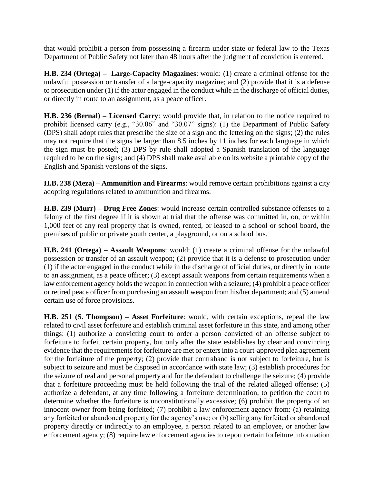that would prohibit a person from possessing a firearm under state or federal law to the Texas Department of Public Safety not later than 48 hours after the judgment of conviction is entered.

**H.B. 234 (Ortega) – Large-Capacity Magazines**: would: (1) create a criminal offense for the unlawful possession or transfer of a large-capacity magazine; and (2) provide that it is a defense to prosecution under (1) if the actor engaged in the conduct while in the discharge of official duties, or directly in route to an assignment, as a peace officer.

**H.B. 236 (Bernal) – Licensed Carry**: would provide that, in relation to the notice required to prohibit licensed carry (e.g., "30.06" and "30.07" signs): (1) the Department of Public Safety (DPS) shall adopt rules that prescribe the size of a sign and the lettering on the signs; (2) the rules may not require that the signs be larger than 8.5 inches by 11 inches for each language in which the sign must be posted; (3) DPS by rule shall adopted a Spanish translation of the language required to be on the signs; and (4) DPS shall make available on its website a printable copy of the English and Spanish versions of the signs.

**H.B. 238 (Meza) – Ammunition and Firearms**: would remove certain prohibitions against a city adopting regulations related to ammunition and firearms.

**H.B. 239 (Murr) – Drug Free Zones**: would increase certain controlled substance offenses to a felony of the first degree if it is shown at trial that the offense was committed in, on, or within 1,000 feet of any real property that is owned, rented, or leased to a school or school board, the premises of public or private youth center, a playground, or on a school bus.

**H.B. 241 (Ortega) – Assault Weapons**: would: (1) create a criminal offense for the unlawful possession or transfer of an assault weapon; (2) provide that it is a defense to prosecution under (1) if the actor engaged in the conduct while in the discharge of official duties, or directly in route to an assignment, as a peace officer; (3) except assault weapons from certain requirements when a law enforcement agency holds the weapon in connection with a seizure; (4) prohibit a peace officer or retired peace officer from purchasing an assault weapon from his/her department; and (5) amend certain use of force provisions.

**H.B. 251 (S. Thompson) – Asset Forfeiture**: would, with certain exceptions, repeal the law related to civil asset forfeiture and establish criminal asset forfeiture in this state, and among other things: (1) authorize a convicting court to order a person convicted of an offense subject to forfeiture to forfeit certain property, but only after the state establishes by clear and convincing evidence that the requirements for forfeiture are met or enters into a court-approved plea agreement for the forfeiture of the property; (2) provide that contraband is not subject to forfeiture, but is subject to seizure and must be disposed in accordance with state law; (3) establish procedures for the seizure of real and personal property and for the defendant to challenge the seizure; (4) provide that a forfeiture proceeding must be held following the trial of the related alleged offense; (5) authorize a defendant, at any time following a forfeiture determination, to petition the court to determine whether the forfeiture is unconstitutionally excessive; (6) prohibit the property of an innocent owner from being forfeited; (7) prohibit a law enforcement agency from: (a) retaining any forfeited or abandoned property for the agency's use; or (b) selling any forfeited or abandoned property directly or indirectly to an employee, a person related to an employee, or another law enforcement agency; (8) require law enforcement agencies to report certain forfeiture information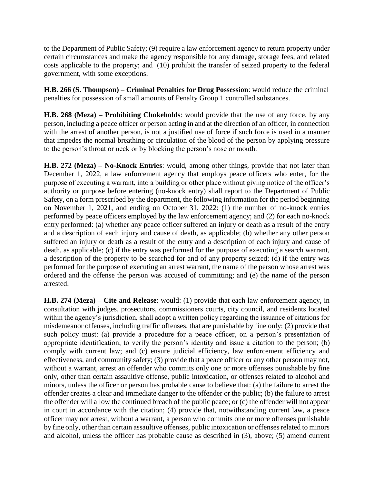to the Department of Public Safety; (9) require a law enforcement agency to return property under certain circumstances and make the agency responsible for any damage, storage fees, and related costs applicable to the property; and (10) prohibit the transfer of seized property to the federal government, with some exceptions.

**H.B. 266 (S. Thompson) – Criminal Penalties for Drug Possession**: would reduce the criminal penalties for possession of small amounts of Penalty Group 1 controlled substances.

**H.B. 268 (Meza) – Prohibiting Chokeholds**: would provide that the use of any force, by any person, including a peace officer or person acting in and at the direction of an officer, in connection with the arrest of another person, is not a justified use of force if such force is used in a manner that impedes the normal breathing or circulation of the blood of the person by applying pressure to the person's throat or neck or by blocking the person's nose or mouth.

**H.B. 272 (Meza) – No-Knock Entries**: would, among other things, provide that not later than December 1, 2022, a law enforcement agency that employs peace officers who enter, for the purpose of executing a warrant, into a building or other place without giving notice of the officer's authority or purpose before entering (no-knock entry) shall report to the Department of Public Safety, on a form prescribed by the department, the following information for the period beginning on November 1, 2021, and ending on October 31, 2022: (1) the number of no-knock entries performed by peace officers employed by the law enforcement agency; and (2) for each no-knock entry performed: (a) whether any peace officer suffered an injury or death as a result of the entry and a description of each injury and cause of death, as applicable; (b) whether any other person suffered an injury or death as a result of the entry and a description of each injury and cause of death, as applicable; (c) if the entry was performed for the purpose of executing a search warrant, a description of the property to be searched for and of any property seized; (d) if the entry was performed for the purpose of executing an arrest warrant, the name of the person whose arrest was ordered and the offense the person was accused of committing; and (e) the name of the person arrested.

**H.B. 274 (Meza) – Cite and Release**: would: (1) provide that each law enforcement agency, in consultation with judges, prosecutors, commissioners courts, city council, and residents located within the agency's jurisdiction, shall adopt a written policy regarding the issuance of citations for misdemeanor offenses, including traffic offenses, that are punishable by fine only; (2) provide that such policy must: (a) provide a procedure for a peace officer, on a person's presentation of appropriate identification, to verify the person's identity and issue a citation to the person; (b) comply with current law; and (c) ensure judicial efficiency, law enforcement efficiency and effectiveness, and community safety; (3) provide that a peace officer or any other person may not, without a warrant, arrest an offender who commits only one or more offenses punishable by fine only, other than certain assaultive offense, public intoxication, or offenses related to alcohol and minors, unless the officer or person has probable cause to believe that: (a) the failure to arrest the offender creates a clear and immediate danger to the offender or the public; (b) the failure to arrest the offender will allow the continued breach of the public peace; or (c) the offender will not appear in court in accordance with the citation; (4) provide that, notwithstanding current law, a peace officer may not arrest, without a warrant, a person who commits one or more offenses punishable by fine only, other than certain assaultive offenses, public intoxication or offenses related to minors and alcohol, unless the officer has probable cause as described in (3), above; (5) amend current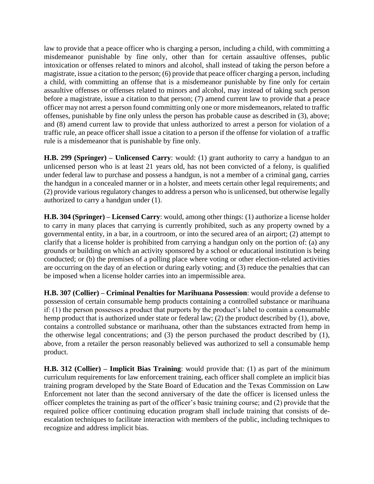law to provide that a peace officer who is charging a person, including a child, with committing a misdemeanor punishable by fine only, other than for certain assaultive offenses, public intoxication or offenses related to minors and alcohol, shall instead of taking the person before a magistrate, issue a citation to the person; (6) provide that peace officer charging a person, including a child, with committing an offense that is a misdemeanor punishable by fine only for certain assaultive offenses or offenses related to minors and alcohol, may instead of taking such person before a magistrate, issue a citation to that person; (7) amend current law to provide that a peace officer may not arrest a person found committing only one or more misdemeanors, related to traffic offenses, punishable by fine only unless the person has probable cause as described in (3), above; and (8) amend current law to provide that unless authorized to arrest a person for violation of a traffic rule, an peace officer shall issue a citation to a person if the offense for violation of a traffic rule is a misdemeanor that is punishable by fine only.

**H.B. 299 (Springer) – Unlicensed Carry**: would: (1) grant authority to carry a handgun to an unlicensed person who is at least 21 years old, has not been convicted of a felony, is qualified under federal law to purchase and possess a handgun, is not a member of a criminal gang, carries the handgun in a concealed manner or in a holster, and meets certain other legal requirements; and (2) provide various regulatory changes to address a person who is unlicensed, but otherwise legally authorized to carry a handgun under (1).

**H.B. 304 (Springer) – Licensed Carry**: would, among other things: (1) authorize a license holder to carry in many places that carrying is currently prohibited, such as any property owned by a governmental entity, in a bar, in a courtroom, or into the secured area of an airport; (2) attempt to clarify that a license holder is prohibited from carrying a handgun only on the portion of: (a) any grounds or building on which an activity sponsored by a school or educational institution is being conducted; or (b) the premises of a polling place where voting or other election-related activities are occurring on the day of an election or during early voting; and (3) reduce the penalties that can be imposed when a license holder carries into an impermissible area.

**H.B. 307 (Collier) – Criminal Penalties for Marihuana Possession**: would provide a defense to possession of certain consumable hemp products containing a controlled substance or marihuana if: (1) the person possesses a product that purports by the product's label to contain a consumable hemp product that is authorized under state or federal law; (2) the product described by (1), above, contains a controlled substance or marihuana, other than the substances extracted from hemp in the otherwise legal concentrations; and (3) the person purchased the product described by (1), above, from a retailer the person reasonably believed was authorized to sell a consumable hemp product.

**H.B. 312 (Collier) – Implicit Bias Training**: would provide that: (1) as part of the minimum curriculum requirements for law enforcement training, each officer shall complete an implicit bias training program developed by the State Board of Education and the Texas Commission on Law Enforcement not later than the second anniversary of the date the officer is licensed unless the officer completes the training as part of the officer's basic training course; and (2) provide that the required police officer continuing education program shall include training that consists of deescalation techniques to facilitate interaction with members of the public, including techniques to recognize and address implicit bias.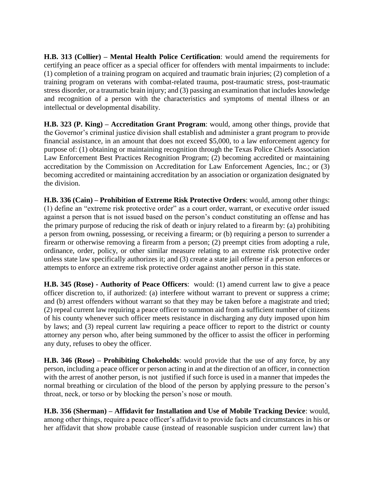**H.B. 313 (Collier) – Mental Health Police Certification**: would amend the requirements for certifying an peace officer as a special officer for offenders with mental impairments to include: (1) completion of a training program on acquired and traumatic brain injuries; (2) completion of a training program on veterans with combat-related trauma, post-traumatic stress, post-traumatic stress disorder, or a traumatic brain injury; and (3) passing an examination that includes knowledge and recognition of a person with the characteristics and symptoms of mental illness or an intellectual or developmental disability.

**H.B. 323 (P. King) – Accreditation Grant Program**: would, among other things, provide that the Governor's criminal justice division shall establish and administer a grant program to provide financial assistance, in an amount that does not exceed \$5,000, to a law enforcement agency for purpose of: (1) obtaining or maintaining recognition through the Texas Police Chiefs Association Law Enforcement Best Practices Recognition Program; (2) becoming accredited or maintaining accreditation by the Commission on Accreditation for Law Enforcement Agencies, Inc.; or (3) becoming accredited or maintaining accreditation by an association or organization designated by the division.

**H.B. 336 (Cain) – Prohibition of Extreme Risk Protective Orders**: would, among other things: (1) define an "extreme risk protective order" as a court order, warrant, or executive order issued against a person that is not issued based on the person's conduct constituting an offense and has the primary purpose of reducing the risk of death or injury related to a firearm by: (a) prohibiting a person from owning, possessing, or receiving a firearm; or (b) requiring a person to surrender a firearm or otherwise removing a firearm from a person; (2) preempt cities from adopting a rule, ordinance, order, policy, or other similar measure relating to an extreme risk protective order unless state law specifically authorizes it; and (3) create a state jail offense if a person enforces or attempts to enforce an extreme risk protective order against another person in this state.

**H.B. 345 (Rose) - Authority of Peace Officers**: would: (1) amend current law to give a peace officer discretion to, if authorized: (a) interfere without warrant to prevent or suppress a crime; and (b) arrest offenders without warrant so that they may be taken before a magistrate and tried; (2) repeal current law requiring a peace officer to summon aid from a sufficient number of citizens of his county whenever such officer meets resistance in discharging any duty imposed upon him by laws; and (3) repeal current law requiring a peace officer to report to the district or county attorney any person who, after being summoned by the officer to assist the officer in performing any duty, refuses to obey the officer.

**H.B. 346 (Rose) – Prohibiting Chokeholds**: would provide that the use of any force, by any person, including a peace officer or person acting in and at the direction of an officer, in connection with the arrest of another person, is not justified if such force is used in a manner that impedes the normal breathing or circulation of the blood of the person by applying pressure to the person's throat, neck, or torso or by blocking the person's nose or mouth.

**H.B. 356 (Sherman) – Affidavit for Installation and Use of Mobile Tracking Device**: would, among other things, require a peace officer's affidavit to provide facts and circumstances in his or her affidavit that show probable cause (instead of reasonable suspicion under current law) that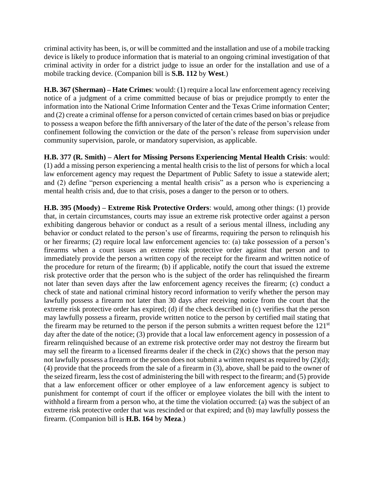criminal activity has been, is, or will be committed and the installation and use of a mobile tracking device is likely to produce information that is material to an ongoing criminal investigation of that criminal activity in order for a district judge to issue an order for the installation and use of a mobile tracking device. (Companion bill is **S.B. 112** by **West**.)

**H.B. 367 (Sherman) – Hate Crimes**: would: (1) require a local law enforcement agency receiving notice of a judgment of a crime committed because of bias or prejudice promptly to enter the information into the National Crime Information Center and the Texas Crime information Center; and (2) create a criminal offense for a person convicted of certain crimes based on bias or prejudice to possess a weapon before the fifth anniversary of the later of the date of the person's release from confinement following the conviction or the date of the person's release from supervision under community supervision, parole, or mandatory supervision, as applicable.

**H.B. 377 (R. Smith) – Alert for Missing Persons Experiencing Mental Health Crisis**: would: (1) add a missing person experiencing a mental health crisis to the list of persons for which a local law enforcement agency may request the Department of Public Safety to issue a statewide alert; and (2) define "person experiencing a mental health crisis" as a person who is experiencing a mental health crisis and, due to that crisis, poses a danger to the person or to others.

**H.B. 395 (Moody) – Extreme Risk Protective Orders**: would, among other things: (1) provide that, in certain circumstances, courts may issue an extreme risk protective order against a person exhibiting dangerous behavior or conduct as a result of a serious mental illness, including any behavior or conduct related to the person's use of firearms, requiring the person to relinquish his or her firearms; (2) require local law enforcement agencies to: (a) take possession of a person's firearms when a court issues an extreme risk protective order against that person and to immediately provide the person a written copy of the receipt for the firearm and written notice of the procedure for return of the firearm; (b) if applicable, notify the court that issued the extreme risk protective order that the person who is the subject of the order has relinquished the firearm not later than seven days after the law enforcement agency receives the firearm; (c) conduct a check of state and national criminal history record information to verify whether the person may lawfully possess a firearm not later than 30 days after receiving notice from the court that the extreme risk protective order has expired; (d) if the check described in (c) verifies that the person may lawfully possess a firearm, provide written notice to the person by certified mail stating that the firearm may be returned to the person if the person submits a written request before the  $121<sup>st</sup>$ day after the date of the notice; (3) provide that a local law enforcement agency in possession of a firearm relinquished because of an extreme risk protective order may not destroy the firearm but may sell the firearm to a licensed firearms dealer if the check in (2)(c) shows that the person may not lawfully possess a firearm or the person does not submit a written request as required by (2)(d); (4) provide that the proceeds from the sale of a firearm in (3), above, shall be paid to the owner of the seized firearm, less the cost of administering the bill with respect to the firearm; and (5) provide that a law enforcement officer or other employee of a law enforcement agency is subject to punishment for contempt of court if the officer or employee violates the bill with the intent to withhold a firearm from a person who, at the time the violation occurred: (a) was the subject of an extreme risk protective order that was rescinded or that expired; and (b) may lawfully possess the firearm. (Companion bill is **H.B. 164** by **Meza**.)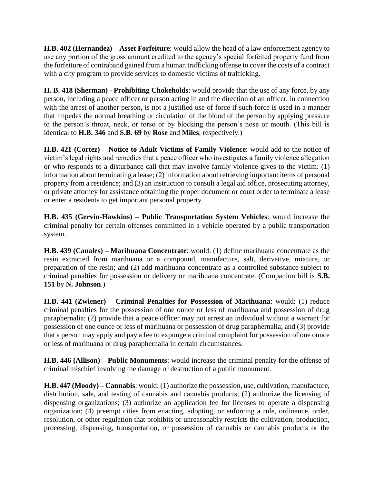**H.B. 402 (Hernandez) – Asset Forfeiture**: would allow the head of a law enforcement agency to use any portion of the gross amount credited to the agency's special forfeited property fund from the forfeiture of contraband gained from a human trafficking offense to cover the costs of a contract with a city program to provide services to domestic victims of trafficking.

**H. B. 418 (Sherman) - Prohibiting Chokeholds**: would provide that the use of any force, by any person, including a peace officer or person acting in and the direction of an officer, in connection with the arrest of another person, is not a justified use of force if such force is used in a manner that impedes the normal breathing or circulation of the blood of the person by applying pressure to the person's throat, neck, or torso or by blocking the person's nose or mouth. (This bill is identical to **H.B. 346** and **S.B. 69** by **Rose** and **Miles**, respectively.)

**H.B. 421 (Cortez) – Notice to Adult Victims of Family Violence**: would add to the notice of victim's legal rights and remedies that a peace officer who investigates a family violence allegation or who responds to a disturbance call that may involve family violence gives to the victim: (1) information about terminating a lease; (2) information about retrieving important items of personal property from a residence; and (3) an instruction to consult a legal aid office, prosecuting attorney, or private attorney for assistance obtaining the proper document or court order to terminate a lease or enter a residents to get important personal property.

**H.B. 435 (Gervin-Hawkins) – Public Transportation System Vehicles**: would increase the criminal penalty for certain offenses committed in a vehicle operated by a public transportation system.

**H.B. 439 (Canales) – Marihuana Concentrate**: would: (1) define marihuana concentrate as the resin extracted from marihuana or a compound, manufacture, salt, derivative, mixture, or preparation of the resin; and (2) add marihuana concentrate as a controlled substance subject to criminal penalties for possession or delivery or marihuana concentrate. (Companion bill is **S.B. 151** by **N. Johnson**.)

**H.B. 441 (Zwiener) – Criminal Penalties for Possession of Marihuana**: would: (1) reduce criminal penalties for the possession of one ounce or less of marihuana and possession of drug paraphernalia; (2) provide that a peace officer may not arrest an individual without a warrant for possession of one ounce or less of marihuana or possession of drug paraphernalia; and (3) provide that a person may apply and pay a fee to expunge a criminal complaint for possession of one ounce or less of marihuana or drug paraphernalia in certain circumstances.

**H.B. 446 (Allison) – Public Monuments**: would increase the criminal penalty for the offense of criminal mischief involving the damage or destruction of a public monument.

**H.B. 447 (Moody) – Cannabis**: would: (1) authorize the possession, use, cultivation, manufacture, distribution, sale, and testing of cannabis and cannabis products; (2) authorize the licensing of dispensing organizations; (3) authorize an application fee for licenses to operate a dispensing organization; (4) preempt cities from enacting, adopting, or enforcing a rule, ordinance, order, resolution, or other regulation that prohibits or unreasonably restricts the cultivation, production, processing, dispensing, transportation, or possession of cannabis or cannabis products or the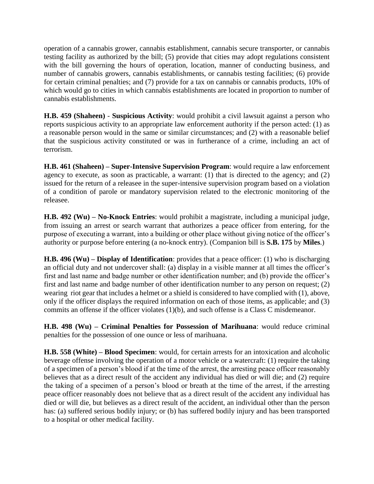operation of a cannabis grower, cannabis establishment, cannabis secure transporter, or cannabis testing facility as authorized by the bill; (5) provide that cities may adopt regulations consistent with the bill governing the hours of operation, location, manner of conducting business, and number of cannabis growers, cannabis establishments, or cannabis testing facilities; (6) provide for certain criminal penalties; and (7) provide for a tax on cannabis or cannabis products, 10% of which would go to cities in which cannabis establishments are located in proportion to number of cannabis establishments.

**H.B. 459 (Shaheen)** - **Suspicious Activity**: would prohibit a civil lawsuit against a person who reports suspicious activity to an appropriate law enforcement authority if the person acted: (1) as a reasonable person would in the same or similar circumstances; and (2) with a reasonable belief that the suspicious activity constituted or was in furtherance of a crime, including an act of terrorism.

**H.B. 461 (Shaheen) – Super-Intensive Supervision Program**: would require a law enforcement agency to execute, as soon as practicable, a warrant: (1) that is directed to the agency; and (2) issued for the return of a releasee in the super-intensive supervision program based on a violation of a condition of parole or mandatory supervision related to the electronic monitoring of the releasee.

**H.B. 492 (Wu) – No-Knock Entries**: would prohibit a magistrate, including a municipal judge, from issuing an arrest or search warrant that authorizes a peace officer from entering, for the purpose of executing a warrant, into a building or other place without giving notice of the officer's authority or purpose before entering (a no-knock entry). (Companion bill is **S.B. 175** by **Miles**.)

**H.B. 496 (Wu) – Display of Identification**: provides that a peace officer: (1) who is discharging an official duty and not undercover shall: (a) display in a visible manner at all times the officer's first and last name and badge number or other identification number; and (b) provide the officer's first and last name and badge number of other identification number to any person on request; (2) wearing riot gear that includes a helmet or a shield is considered to have complied with (1), above, only if the officer displays the required information on each of those items, as applicable; and (3) commits an offense if the officer violates (1)(b), and such offense is a Class C misdemeanor.

**H.B. 498 (Wu) – Criminal Penalties for Possession of Marihuana**: would reduce criminal penalties for the possession of one ounce or less of marihuana.

**H.B. 558 (White) – Blood Specimen**: would, for certain arrests for an intoxication and alcoholic beverage offense involving the operation of a motor vehicle or a watercraft: (1) require the taking of a specimen of a person's blood if at the time of the arrest, the arresting peace officer reasonably believes that as a direct result of the accident any individual has died or will die; and (2) require the taking of a specimen of a person's blood or breath at the time of the arrest, if the arresting peace officer reasonably does not believe that as a direct result of the accident any individual has died or will die, but believes as a direct result of the accident, an individual other than the person has: (a) suffered serious bodily injury; or (b) has suffered bodily injury and has been transported to a hospital or other medical facility.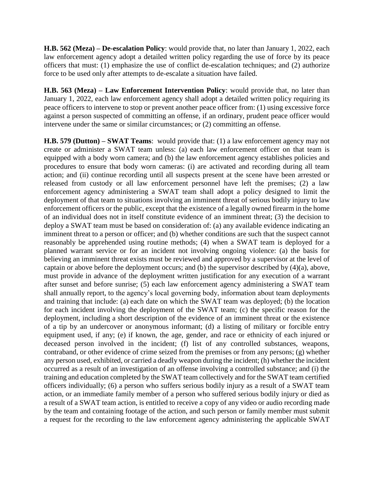**H.B. 562 (Meza) – De-escalation Policy**: would provide that, no later than January 1, 2022, each law enforcement agency adopt a detailed written policy regarding the use of force by its peace officers that must: (1) emphasize the use of conflict de-escalation techniques; and (2) authorize force to be used only after attempts to de-escalate a situation have failed.

**H.B. 563 (Meza) – Law Enforcement Intervention Policy**: would provide that, no later than January 1, 2022, each law enforcement agency shall adopt a detailed written policy requiring its peace officers to intervene to stop or prevent another peace officer from: (1) using excessive force against a person suspected of committing an offense, if an ordinary, prudent peace officer would intervene under the same or similar circumstances; or (2) committing an offense.

**H.B. 579 (Dutton) – SWAT Teams**: would provide that: (1) a law enforcement agency may not create or administer a SWAT team unless: (a) each law enforcement officer on that team is equipped with a body worn camera; and (b) the law enforcement agency establishes policies and procedures to ensure that body worn cameras: (i) are activated and recording during all team action; and (ii) continue recording until all suspects present at the scene have been arrested or released from custody or all law enforcement personnel have left the premises; (2) a law enforcement agency administering a SWAT team shall adopt a policy designed to limit the deployment of that team to situations involving an imminent threat of serious bodily injury to law enforcement officers or the public, except that the existence of a legally owned firearm in the home of an individual does not in itself constitute evidence of an imminent threat; (3) the decision to deploy a SWAT team must be based on consideration of: (a) any available evidence indicating an imminent threat to a person or officer; and (b) whether conditions are such that the suspect cannot reasonably be apprehended using routine methods; (4) when a SWAT team is deployed for a planned warrant service or for an incident not involving ongoing violence: (a) the basis for believing an imminent threat exists must be reviewed and approved by a supervisor at the level of captain or above before the deployment occurs; and (b) the supervisor described by (4)(a), above, must provide in advance of the deployment written justification for any execution of a warrant after sunset and before sunrise; (5) each law enforcement agency administering a SWAT team shall annually report, to the agency's local governing body, information about team deployments and training that include: (a) each date on which the SWAT team was deployed; (b) the location for each incident involving the deployment of the SWAT team; (c) the specific reason for the deployment, including a short description of the evidence of an imminent threat or the existence of a tip by an undercover or anonymous informant; (d) a listing of military or forcible entry equipment used, if any; (e) if known, the age, gender, and race or ethnicity of each injured or deceased person involved in the incident; (f) list of any controlled substances, weapons, contraband, or other evidence of crime seized from the premises or from any persons; (g) whether any person used, exhibited, or carried a deadly weapon during the incident; (h) whether the incident occurred as a result of an investigation of an offense involving a controlled substance; and (i) the training and education completed by the SWAT team collectively and for the SWAT team certified officers individually; (6) a person who suffers serious bodily injury as a result of a SWAT team action, or an immediate family member of a person who suffered serious bodily injury or died as a result of a SWAT team action, is entitled to receive a copy of any video or audio recording made by the team and containing footage of the action, and such person or family member must submit a request for the recording to the law enforcement agency administering the applicable SWAT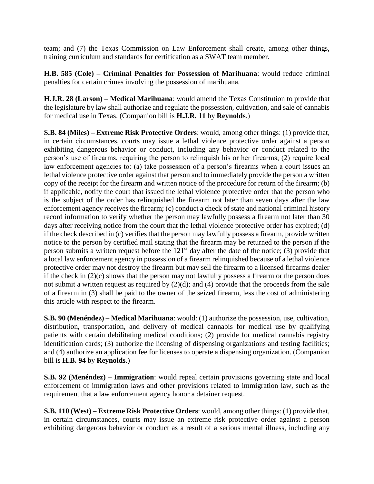team; and (7) the Texas Commission on Law Enforcement shall create, among other things, training curriculum and standards for certification as a SWAT team member.

**H.B. 585 (Cole) – Criminal Penalties for Possession of Marihuana**: would reduce criminal penalties for certain crimes involving the possession of marihuana.

**H.J.R. 28 (Larson) – Medical Marihuana**: would amend the Texas Constitution to provide that the legislature by law shall authorize and regulate the possession, cultivation, and sale of cannabis for medical use in Texas. (Companion bill is **H.J.R. 11** by **Reynolds**.)

**S.B. 84 (Miles) – Extreme Risk Protective Orders**: would, among other things: (1) provide that, in certain circumstances, courts may issue a lethal violence protective order against a person exhibiting dangerous behavior or conduct, including any behavior or conduct related to the person's use of firearms, requiring the person to relinquish his or her firearms; (2) require local law enforcement agencies to: (a) take possession of a person's firearms when a court issues an lethal violence protective order against that person and to immediately provide the person a written copy of the receipt for the firearm and written notice of the procedure for return of the firearm; (b) if applicable, notify the court that issued the lethal violence protective order that the person who is the subject of the order has relinquished the firearm not later than seven days after the law enforcement agency receives the firearm; (c) conduct a check of state and national criminal history record information to verify whether the person may lawfully possess a firearm not later than 30 days after receiving notice from the court that the lethal violence protective order has expired; (d) if the check described in (c) verifies that the person may lawfully possess a firearm, provide written notice to the person by certified mail stating that the firearm may be returned to the person if the person submits a written request before the  $121<sup>st</sup>$  day after the date of the notice; (3) provide that a local law enforcement agency in possession of a firearm relinquished because of a lethal violence protective order may not destroy the firearm but may sell the firearm to a licensed firearms dealer if the check in (2)(c) shows that the person may not lawfully possess a firearm or the person does not submit a written request as required by (2)(d); and (4) provide that the proceeds from the sale of a firearm in (3) shall be paid to the owner of the seized firearm, less the cost of administering this article with respect to the firearm.

**S.B. 90 (Menéndez) – Medical Marihuana**: would: (1) authorize the possession, use, cultivation, distribution, transportation, and delivery of medical cannabis for medical use by qualifying patients with certain debilitating medical conditions; (2) provide for medical cannabis registry identification cards; (3) authorize the licensing of dispensing organizations and testing facilities; and (4) authorize an application fee for licenses to operate a dispensing organization. (Companion bill is **H.B. 94** by **Reynolds**.)

**S.B. 92 (Menéndez) – Immigration**: would repeal certain provisions governing state and local enforcement of immigration laws and other provisions related to immigration law, such as the requirement that a law enforcement agency honor a detainer request.

**S.B. 110 (West) – Extreme Risk Protective Orders**: would, among other things: (1) provide that, in certain circumstances, courts may issue an extreme risk protective order against a person exhibiting dangerous behavior or conduct as a result of a serious mental illness, including any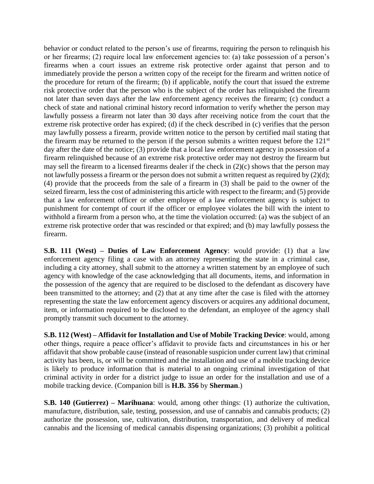behavior or conduct related to the person's use of firearms, requiring the person to relinquish his or her firearms; (2) require local law enforcement agencies to: (a) take possession of a person's firearms when a court issues an extreme risk protective order against that person and to immediately provide the person a written copy of the receipt for the firearm and written notice of the procedure for return of the firearm; (b) if applicable, notify the court that issued the extreme risk protective order that the person who is the subject of the order has relinquished the firearm not later than seven days after the law enforcement agency receives the firearm; (c) conduct a check of state and national criminal history record information to verify whether the person may lawfully possess a firearm not later than 30 days after receiving notice from the court that the extreme risk protective order has expired; (d) if the check described in (c) verifies that the person may lawfully possess a firearm, provide written notice to the person by certified mail stating that the firearm may be returned to the person if the person submits a written request before the 121<sup>st</sup> day after the date of the notice; (3) provide that a local law enforcement agency in possession of a firearm relinquished because of an extreme risk protective order may not destroy the firearm but may sell the firearm to a licensed firearms dealer if the check in (2)(c) shows that the person may not lawfully possess a firearm or the person does not submit a written request as required by (2)(d); (4) provide that the proceeds from the sale of a firearm in (3) shall be paid to the owner of the seized firearm, less the cost of administering this article with respect to the firearm; and (5) provide that a law enforcement officer or other employee of a law enforcement agency is subject to punishment for contempt of court if the officer or employee violates the bill with the intent to withhold a firearm from a person who, at the time the violation occurred: (a) was the subject of an extreme risk protective order that was rescinded or that expired; and (b) may lawfully possess the firearm.

**S.B. 111 (West) – Duties of Law Enforcement Agency**: would provide: (1) that a law enforcement agency filing a case with an attorney representing the state in a criminal case, including a city attorney, shall submit to the attorney a written statement by an employee of such agency with knowledge of the case acknowledging that all documents, items, and information in the possession of the agency that are required to be disclosed to the defendant as discovery have been transmitted to the attorney; and (2) that at any time after the case is filed with the attorney representing the state the law enforcement agency discovers or acquires any additional document, item, or information required to be disclosed to the defendant, an employee of the agency shall promptly transmit such document to the attorney.

**S.B. 112 (West) – Affidavit for Installation and Use of Mobile Tracking Device**: would, among other things, require a peace officer's affidavit to provide facts and circumstances in his or her affidavit that show probable cause (instead of reasonable suspicion under current law) that criminal activity has been, is, or will be committed and the installation and use of a mobile tracking device is likely to produce information that is material to an ongoing criminal investigation of that criminal activity in order for a district judge to issue an order for the installation and use of a mobile tracking device. (Companion bill is **H.B. 356** by **Sherman**.)

**S.B. 140 (Gutierrez) – Marihuana**: would, among other things: (1) authorize the cultivation, manufacture, distribution, sale, testing, possession, and use of cannabis and cannabis products; (2) authorize the possession, use, cultivation, distribution, transportation, and delivery of medical cannabis and the licensing of medical cannabis dispensing organizations; (3) prohibit a political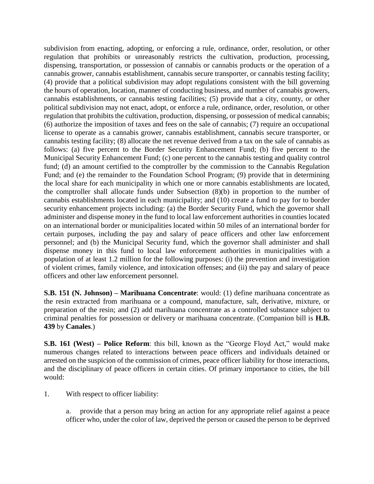subdivision from enacting, adopting, or enforcing a rule, ordinance, order, resolution, or other regulation that prohibits or unreasonably restricts the cultivation, production, processing, dispensing, transportation, or possession of cannabis or cannabis products or the operation of a cannabis grower, cannabis establishment, cannabis secure transporter, or cannabis testing facility; (4) provide that a political subdivision may adopt regulations consistent with the bill governing the hours of operation, location, manner of conducting business, and number of cannabis growers, cannabis establishments, or cannabis testing facilities; (5) provide that a city, county, or other political subdivision may not enact, adopt, or enforce a rule, ordinance, order, resolution, or other regulation that prohibits the cultivation, production, dispensing, or possession of medical cannabis; (6) authorize the imposition of taxes and fees on the sale of cannabis; (7) require an occupational license to operate as a cannabis grower, cannabis establishment, cannabis secure transporter, or cannabis testing facility; (8) allocate the net revenue derived from a tax on the sale of cannabis as follows: (a) five percent to the Border Security Enhancement Fund; (b) five percent to the Municipal Security Enhancement Fund; (c) one percent to the cannabis testing and quality control fund; (d) an amount certified to the comptroller by the commission to the Cannabis Regulation Fund; and (e) the remainder to the Foundation School Program; (9) provide that in determining the local share for each municipality in which one or more cannabis establishments are located, the comptroller shall allocate funds under Subsection (8)(b) in proportion to the number of cannabis establishments located in each municipality; and (10) create a fund to pay for to border security enhancement projects including: (a) the Border Security Fund, which the governor shall administer and dispense money in the fund to local law enforcement authorities in counties located on an international border or municipalities located within 50 miles of an international border for certain purposes, including the pay and salary of peace officers and other law enforcement personnel; and (b) the Municipal Security fund, which the governor shall administer and shall dispense money in this fund to local law enforcement authorities in municipalities with a population of at least 1.2 million for the following purposes: (i) the prevention and investigation of violent crimes, family violence, and intoxication offenses; and (ii) the pay and salary of peace officers and other law enforcement personnel.

**S.B. 151 (N. Johnson) – Marihuana Concentrate**: would: (1) define marihuana concentrate as the resin extracted from marihuana or a compound, manufacture, salt, derivative, mixture, or preparation of the resin; and (2) add marihuana concentrate as a controlled substance subject to criminal penalties for possession or delivery or marihuana concentrate. (Companion bill is **H.B. 439** by **Canales**.)

**S.B. 161 (West) – Police Reform**: this bill, known as the "George Floyd Act," would make numerous changes related to interactions between peace officers and individuals detained or arrested on the suspicion of the commission of crimes, peace officer liability for those interactions, and the disciplinary of peace officers in certain cities. Of primary importance to cities, the bill would:

- 1. With respect to officer liability:
	- a. provide that a person may bring an action for any appropriate relief against a peace officer who, under the color of law, deprived the person or caused the person to be deprived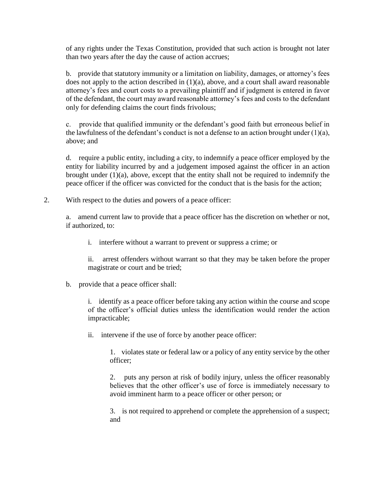of any rights under the Texas Constitution, provided that such action is brought not later than two years after the day the cause of action accrues;

b. provide that statutory immunity or a limitation on liability, damages, or attorney's fees does not apply to the action described in (1)(a), above, and a court shall award reasonable attorney's fees and court costs to a prevailing plaintiff and if judgment is entered in favor of the defendant, the court may award reasonable attorney's fees and costs to the defendant only for defending claims the court finds frivolous;

c. provide that qualified immunity or the defendant's good faith but erroneous belief in the lawfulness of the defendant's conduct is not a defense to an action brought under  $(1)(a)$ , above; and

d. require a public entity, including a city, to indemnify a peace officer employed by the entity for liability incurred by and a judgement imposed against the officer in an action brought under (1)(a), above, except that the entity shall not be required to indemnify the peace officer if the officer was convicted for the conduct that is the basis for the action;

2. With respect to the duties and powers of a peace officer:

a. amend current law to provide that a peace officer has the discretion on whether or not, if authorized, to:

i. interfere without a warrant to prevent or suppress a crime; or

ii. arrest offenders without warrant so that they may be taken before the proper magistrate or court and be tried;

b. provide that a peace officer shall:

i. identify as a peace officer before taking any action within the course and scope of the officer's official duties unless the identification would render the action impracticable;

ii. intervene if the use of force by another peace officer:

1. violates state or federal law or a policy of any entity service by the other officer;

2. puts any person at risk of bodily injury, unless the officer reasonably believes that the other officer's use of force is immediately necessary to avoid imminent harm to a peace officer or other person; or

3. is not required to apprehend or complete the apprehension of a suspect; and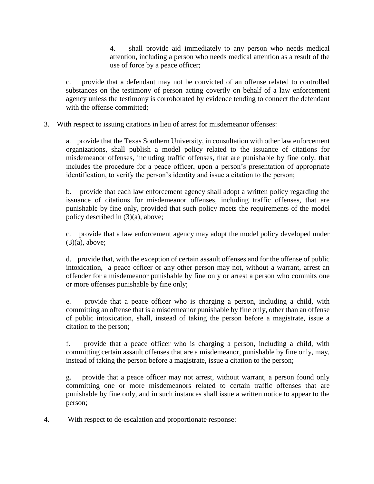4. shall provide aid immediately to any person who needs medical attention, including a person who needs medical attention as a result of the use of force by a peace officer;

c. provide that a defendant may not be convicted of an offense related to controlled substances on the testimony of person acting covertly on behalf of a law enforcement agency unless the testimony is corroborated by evidence tending to connect the defendant with the offense committed:

3. With respect to issuing citations in lieu of arrest for misdemeanor offenses:

a. provide that the Texas Southern University, in consultation with other law enforcement organizations, shall publish a model policy related to the issuance of citations for misdemeanor offenses, including traffic offenses, that are punishable by fine only, that includes the procedure for a peace officer, upon a person's presentation of appropriate identification, to verify the person's identity and issue a citation to the person;

b. provide that each law enforcement agency shall adopt a written policy regarding the issuance of citations for misdemeanor offenses, including traffic offenses, that are punishable by fine only, provided that such policy meets the requirements of the model policy described in (3)(a), above;

c. provide that a law enforcement agency may adopt the model policy developed under (3)(a), above;

d. provide that, with the exception of certain assault offenses and for the offense of public intoxication, a peace officer or any other person may not, without a warrant, arrest an offender for a misdemeanor punishable by fine only or arrest a person who commits one or more offenses punishable by fine only;

e. provide that a peace officer who is charging a person, including a child, with committing an offense that is a misdemeanor punishable by fine only, other than an offense of public intoxication, shall, instead of taking the person before a magistrate, issue a citation to the person;

f. provide that a peace officer who is charging a person, including a child, with committing certain assault offenses that are a misdemeanor, punishable by fine only, may, instead of taking the person before a magistrate, issue a citation to the person;

g. provide that a peace officer may not arrest, without warrant, a person found only committing one or more misdemeanors related to certain traffic offenses that are punishable by fine only, and in such instances shall issue a written notice to appear to the person;

4. With respect to de-escalation and proportionate response: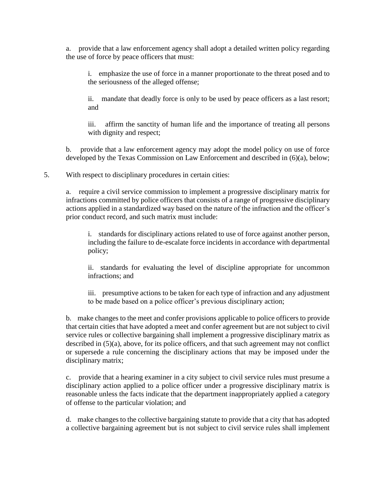a. provide that a law enforcement agency shall adopt a detailed written policy regarding the use of force by peace officers that must:

i. emphasize the use of force in a manner proportionate to the threat posed and to the seriousness of the alleged offense;

ii. mandate that deadly force is only to be used by peace officers as a last resort; and

iii. affirm the sanctity of human life and the importance of treating all persons with dignity and respect;

b. provide that a law enforcement agency may adopt the model policy on use of force developed by the Texas Commission on Law Enforcement and described in (6)(a), below;

5. With respect to disciplinary procedures in certain cities:

a. require a civil service commission to implement a progressive disciplinary matrix for infractions committed by police officers that consists of a range of progressive disciplinary actions applied in a standardized way based on the nature of the infraction and the officer's prior conduct record, and such matrix must include:

i. standards for disciplinary actions related to use of force against another person, including the failure to de-escalate force incidents in accordance with departmental policy;

ii. standards for evaluating the level of discipline appropriate for uncommon infractions; and

iii. presumptive actions to be taken for each type of infraction and any adjustment to be made based on a police officer's previous disciplinary action;

b. make changes to the meet and confer provisions applicable to police officers to provide that certain cities that have adopted a meet and confer agreement but are not subject to civil service rules or collective bargaining shall implement a progressive disciplinary matrix as described in (5)(a), above, for its police officers, and that such agreement may not conflict or supersede a rule concerning the disciplinary actions that may be imposed under the disciplinary matrix;

c. provide that a hearing examiner in a city subject to civil service rules must presume a disciplinary action applied to a police officer under a progressive disciplinary matrix is reasonable unless the facts indicate that the department inappropriately applied a category of offense to the particular violation; and

d. make changes to the collective bargaining statute to provide that a city that has adopted a collective bargaining agreement but is not subject to civil service rules shall implement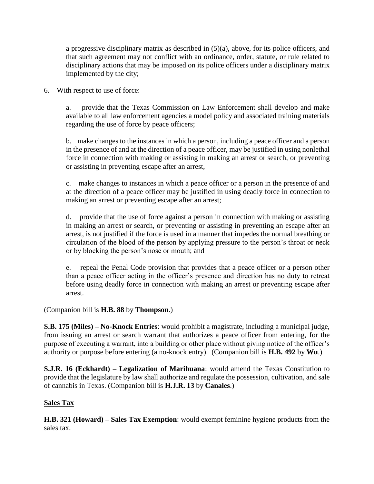a progressive disciplinary matrix as described in (5)(a), above, for its police officers, and that such agreement may not conflict with an ordinance, order, statute, or rule related to disciplinary actions that may be imposed on its police officers under a disciplinary matrix implemented by the city;

6. With respect to use of force:

a. provide that the Texas Commission on Law Enforcement shall develop and make available to all law enforcement agencies a model policy and associated training materials regarding the use of force by peace officers;

b. make changes to the instances in which a person, including a peace officer and a person in the presence of and at the direction of a peace officer, may be justified in using nonlethal force in connection with making or assisting in making an arrest or search, or preventing or assisting in preventing escape after an arrest,

c. make changes to instances in which a peace officer or a person in the presence of and at the direction of a peace officer may be justified in using deadly force in connection to making an arrest or preventing escape after an arrest;

d. provide that the use of force against a person in connection with making or assisting in making an arrest or search, or preventing or assisting in preventing an escape after an arrest, is not justified if the force is used in a manner that impedes the normal breathing or circulation of the blood of the person by applying pressure to the person's throat or neck or by blocking the person's nose or mouth; and

e. repeal the Penal Code provision that provides that a peace officer or a person other than a peace officer acting in the officer's presence and direction has no duty to retreat before using deadly force in connection with making an arrest or preventing escape after arrest.

(Companion bill is **H.B. 88** by **Thompson**.)

**S.B. 175 (Miles) – No-Knock Entries**: would prohibit a magistrate, including a municipal judge, from issuing an arrest or search warrant that authorizes a peace officer from entering, for the purpose of executing a warrant, into a building or other place without giving notice of the officer's authority or purpose before entering (a no-knock entry). (Companion bill is **H.B. 492** by **Wu**.)

**S.J.R. 16 (Eckhardt) – Legalization of Marihuana**: would amend the Texas Constitution to provide that the legislature by law shall authorize and regulate the possession, cultivation, and sale of cannabis in Texas. (Companion bill is **H.J.R. 13** by **Canales**.)

## **Sales Tax**

**H.B. 321 (Howard) – Sales Tax Exemption**: would exempt feminine hygiene products from the sales tax.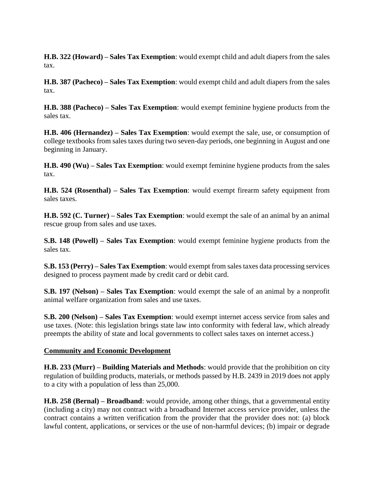**H.B. 322 (Howard) – Sales Tax Exemption**: would exempt child and adult diapers from the sales tax.

**H.B. 387 (Pacheco) – Sales Tax Exemption**: would exempt child and adult diapers from the sales tax.

**H.B. 388 (Pacheco) – Sales Tax Exemption**: would exempt feminine hygiene products from the sales tax.

**H.B. 406 (Hernandez) – Sales Tax Exemption**: would exempt the sale, use, or consumption of college textbooks from sales taxes during two seven-day periods, one beginning in August and one beginning in January.

**H.B. 490 (Wu) – Sales Tax Exemption**: would exempt feminine hygiene products from the sales tax.

**H.B. 524 (Rosenthal) – Sales Tax Exemption**: would exempt firearm safety equipment from sales taxes.

**H.B. 592 (C. Turner) – Sales Tax Exemption**: would exempt the sale of an animal by an animal rescue group from sales and use taxes.

**S.B. 148 (Powell) – Sales Tax Exemption**: would exempt feminine hygiene products from the sales tax.

**S.B. 153 (Perry) – Sales Tax Exemption**: would exempt from sales taxes data processing services designed to process payment made by credit card or debit card.

**S.B. 197 (Nelson) – Sales Tax Exemption**: would exempt the sale of an animal by a nonprofit animal welfare organization from sales and use taxes.

**S.B. 200 (Nelson) – Sales Tax Exemption**: would exempt internet access service from sales and use taxes. (Note: this legislation brings state law into conformity with federal law, which already preempts the ability of state and local governments to collect sales taxes on internet access.)

## **Community and Economic Development**

**H.B. 233 (Murr) – Building Materials and Methods**: would provide that the prohibition on city regulation of building products, materials, or methods passed by H.B. 2439 in 2019 does not apply to a city with a population of less than 25,000.

**H.B. 258 (Bernal) – Broadband**: would provide, among other things, that a governmental entity (including a city) may not contract with a broadband Internet access service provider, unless the contract contains a written verification from the provider that the provider does not: (a) block lawful content, applications, or services or the use of non-harmful devices; (b) impair or degrade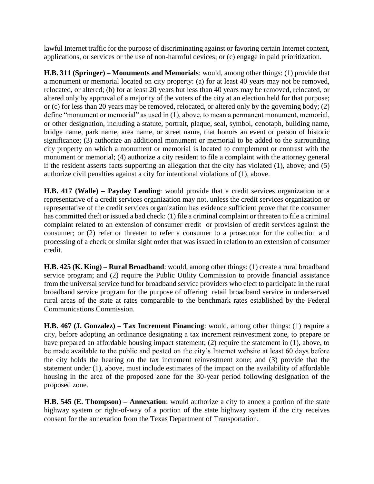lawful Internet traffic for the purpose of discriminating against or favoring certain Internet content, applications, or services or the use of non-harmful devices; or (c) engage in paid prioritization.

**H.B. 311 (Springer) – Monuments and Memorials**: would, among other things: (1) provide that a monument or memorial located on city property: (a) for at least 40 years may not be removed, relocated, or altered; (b) for at least 20 years but less than 40 years may be removed, relocated, or altered only by approval of a majority of the voters of the city at an election held for that purpose; or (c) for less than 20 years may be removed, relocated, or altered only by the governing body; (2) define "monument or memorial" as used in (1), above, to mean a permanent monument, memorial, or other designation, including a statute, portrait, plaque, seal, symbol, cenotaph, building name, bridge name, park name, area name, or street name, that honors an event or person of historic significance; (3) authorize an additional monument or memorial to be added to the surrounding city property on which a monument or memorial is located to complement or contrast with the monument or memorial; (4) authorize a city resident to file a complaint with the attorney general if the resident asserts facts supporting an allegation that the city has violated (1), above; and (5) authorize civil penalties against a city for intentional violations of (1), above.

**H.B. 417 (Walle) – Payday Lending**: would provide that a credit services organization or a representative of a credit services organization may not, unless the credit services organization or representative of the credit services organization has evidence sufficient prove that the consumer has committed theft or issued a bad check: (1) file a criminal complaint or threaten to file a criminal complaint related to an extension of consumer credit or provision of credit services against the consumer; or (2) refer or threaten to refer a consumer to a prosecutor for the collection and processing of a check or similar sight order that was issued in relation to an extension of consumer credit.

**H.B. 425 (K. King) – Rural Broadband**: would, among other things: (1) create a rural broadband service program; and (2) require the Public Utility Commission to provide financial assistance from the universal service fund for broadband service providers who elect to participate in the rural broadband service program for the purpose of offering retail broadband service in underserved rural areas of the state at rates comparable to the benchmark rates established by the Federal Communications Commission.

**H.B. 467 (J. Gonzalez) – Tax Increment Financing**: would, among other things: (1) require a city, before adopting an ordinance designating a tax increment reinvestment zone, to prepare or have prepared an affordable housing impact statement; (2) require the statement in (1), above, to be made available to the public and posted on the city's Internet website at least 60 days before the city holds the hearing on the tax increment reinvestment zone; and (3) provide that the statement under (1), above, must include estimates of the impact on the availability of affordable housing in the area of the proposed zone for the 30-year period following designation of the proposed zone.

**H.B. 545 (E. Thompson) – Annexation**: would authorize a city to annex a portion of the state highway system or right-of-way of a portion of the state highway system if the city receives consent for the annexation from the Texas Department of Transportation.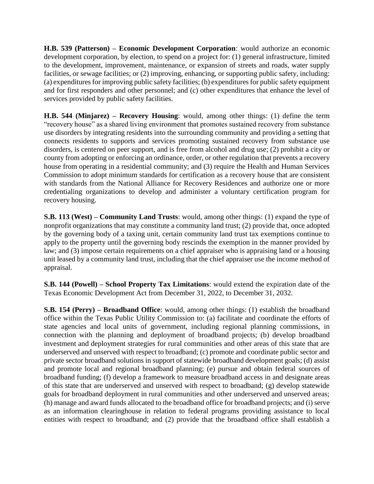**H.B. 539 (Patterson) – Economic Development Corporation**: would authorize an economic development corporation, by election, to spend on a project for: (1) general infrastructure, limited to the development, improvement, maintenance, or expansion of streets and roads, water supply facilities, or sewage facilities; or (2) improving, enhancing, or supporting public safety, including: (a) expenditures for improving public safety facilities; (b) expenditures for public safety equipment and for first responders and other personnel; and (c) other expenditures that enhance the level of services provided by public safety facilities.

**H.B. 544 (Minjarez) – Recovery Housing**: would, among other things: (1) define the term "recovery house" as a shared living environment that promotes sustained recovery from substance use disorders by integrating residents into the surrounding community and providing a setting that connects residents to supports and services promoting sustained recovery from substance use disorders, is centered on peer support, and is free from alcohol and drug use; (2) prohibit a city or county from adopting or enforcing an ordinance, order, or other regulation that prevents a recovery house from operating in a residential community; and (3) require the Health and Human Services Commission to adopt minimum standards for certification as a recovery house that are consistent with standards from the National Alliance for Recovery Residences and authorize one or more credentialing organizations to develop and administer a voluntary certification program for recovery housing.

**S.B. 113 (West) – Community Land Trusts**: would, among other things: (1) expand the type of nonprofit organizations that may constitute a community land trust; (2) provide that, once adopted by the governing body of a taxing unit, certain community land trust tax exemptions continue to apply to the property until the governing body rescinds the exemption in the manner provided by law; and (3) impose certain requirements on a chief appraiser who is appraising land or a housing unit leased by a community land trust, including that the chief appraiser use the income method of appraisal.

**S.B. 144 (Powell) – School Property Tax Limitations**: would extend the expiration date of the Texas Economic Development Act from December 31, 2022, to December 31, 2032.

**S.B. 154 (Perry) – Broadband Office**: would, among other things: (1) establish the broadband office within the Texas Public Utility Commission to: (a) facilitate and coordinate the efforts of state agencies and local units of government, including regional planning commissions, in connection with the planning and deployment of broadband projects; (b) develop broadband investment and deployment strategies for rural communities and other areas of this state that are underserved and unserved with respect to broadband; (c) promote and coordinate public sector and private sector broadband solutions in support of statewide broadband development goals; (d) assist and promote local and regional broadband planning; (e) pursue and obtain federal sources of broadband funding; (f) develop a framework to measure broadband access in and designate areas of this state that are underserved and unserved with respect to broadband; (g) develop statewide goals for broadband deployment in rural communities and other underserved and unserved areas; (h) manage and award funds allocated to the broadband office for broadband projects; and (i) serve as an information clearinghouse in relation to federal programs providing assistance to local entities with respect to broadband; and (2) provide that the broadband office shall establish a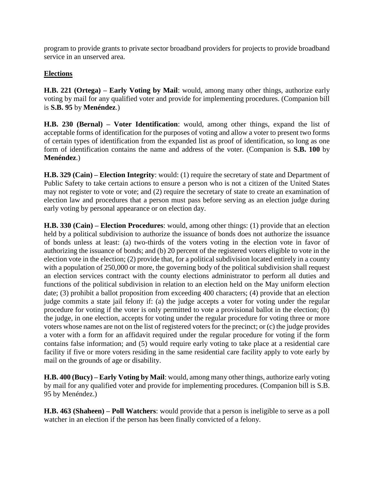program to provide grants to private sector broadband providers for projects to provide broadband service in an unserved area.

## **Elections**

**H.B. 221 (Ortega) – Early Voting by Mail**: would, among many other things, authorize early voting by mail for any qualified voter and provide for implementing procedures. (Companion bill is **S.B. 95** by **Menéndez**.)

**H.B. 230 (Bernal) – Voter Identification**: would, among other things, expand the list of acceptable forms of identification for the purposes of voting and allow a voter to present two forms of certain types of identification from the expanded list as proof of identification, so long as one form of identification contains the name and address of the voter. (Companion is **S.B. 100** by **Menéndez**.)

**H.B. 329 (Cain) – Election Integrity**: would: (1) require the secretary of state and Department of Public Safety to take certain actions to ensure a person who is not a citizen of the United States may not register to vote or vote; and (2) require the secretary of state to create an examination of election law and procedures that a person must pass before serving as an election judge during early voting by personal appearance or on election day.

**H.B. 330 (Cain) – Election Procedures**: would, among other things: (1) provide that an election held by a political subdivision to authorize the issuance of bonds does not authorize the issuance of bonds unless at least: (a) two-thirds of the voters voting in the election vote in favor of authorizing the issuance of bonds; and (b) 20 percent of the registered voters eligible to vote in the election vote in the election; (2) provide that, for a political subdivision located entirely in a county with a population of 250,000 or more, the governing body of the political subdivision shall request an election services contract with the county elections administrator to perform all duties and functions of the political subdivision in relation to an election held on the May uniform election date; (3) prohibit a ballot proposition from exceeding 400 characters; (4) provide that an election judge commits a state jail felony if: (a) the judge accepts a voter for voting under the regular procedure for voting if the voter is only permitted to vote a provisional ballot in the election; (b) the judge, in one election, accepts for voting under the regular procedure for voting three or more voters whose names are not on the list of registered voters for the precinct; or (c) the judge provides a voter with a form for an affidavit required under the regular procedure for voting if the form contains false information; and (5) would require early voting to take place at a residential care facility if five or more voters residing in the same residential care facility apply to vote early by mail on the grounds of age or disability.

**H.B. 400 (Bucy) – Early Voting by Mail**: would, among many other things, authorize early voting by mail for any qualified voter and provide for implementing procedures. (Companion bill is S.B. 95 by Menéndez.)

**H.B. 463 (Shaheen) – Poll Watchers**: would provide that a person is ineligible to serve as a poll watcher in an election if the person has been finally convicted of a felony.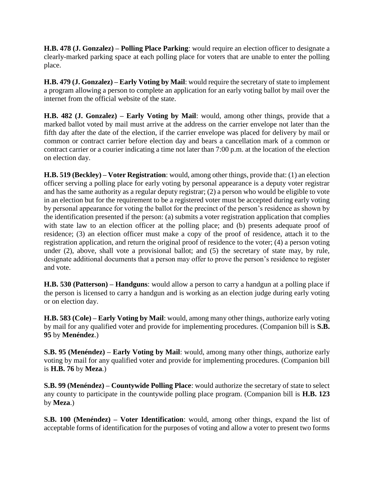**H.B. 478 (J. Gonzalez) – Polling Place Parking**: would require an election officer to designate a clearly-marked parking space at each polling place for voters that are unable to enter the polling place.

**H.B. 479 (J. Gonzalez) – Early Voting by Mail**: would require the secretary of state to implement a program allowing a person to complete an application for an early voting ballot by mail over the internet from the official website of the state.

**H.B. 482 (J. Gonzalez) – Early Voting by Mail**: would, among other things, provide that a marked ballot voted by mail must arrive at the address on the carrier envelope not later than the fifth day after the date of the election, if the carrier envelope was placed for delivery by mail or common or contract carrier before election day and bears a cancellation mark of a common or contract carrier or a courier indicating a time not later than 7:00 p.m. at the location of the election on election day.

**H.B. 519 (Beckley) – Voter Registration**: would, among other things, provide that: (1) an election officer serving a polling place for early voting by personal appearance is a deputy voter registrar and has the same authority as a regular deputy registrar; (2) a person who would be eligible to vote in an election but for the requirement to be a registered voter must be accepted during early voting by personal appearance for voting the ballot for the precinct of the person's residence as shown by the identification presented if the person: (a) submits a voter registration application that complies with state law to an election officer at the polling place; and (b) presents adequate proof of residence; (3) an election officer must make a copy of the proof of residence, attach it to the registration application, and return the original proof of residence to the voter; (4) a person voting under (2), above, shall vote a provisional ballot; and (5) the secretary of state may, by rule, designate additional documents that a person may offer to prove the person's residence to register and vote.

**H.B. 530 (Patterson) – Handguns**: would allow a person to carry a handgun at a polling place if the person is licensed to carry a handgun and is working as an election judge during early voting or on election day.

**H.B. 583 (Cole) – Early Voting by Mail**: would, among many other things, authorize early voting by mail for any qualified voter and provide for implementing procedures. (Companion bill is **S.B. 95** by **Menéndez**.)

**S.B. 95 (Menéndez) – Early Voting by Mail**: would, among many other things, authorize early voting by mail for any qualified voter and provide for implementing procedures. (Companion bill is **H.B. 76** by **Meza**.)

**S.B. 99 (Menéndez) – Countywide Polling Place**: would authorize the secretary of state to select any county to participate in the countywide polling place program. (Companion bill is **H.B. 123** by **Meza**.)

**S.B. 100 (Menéndez) – Voter Identification**: would, among other things, expand the list of acceptable forms of identification for the purposes of voting and allow a voter to present two forms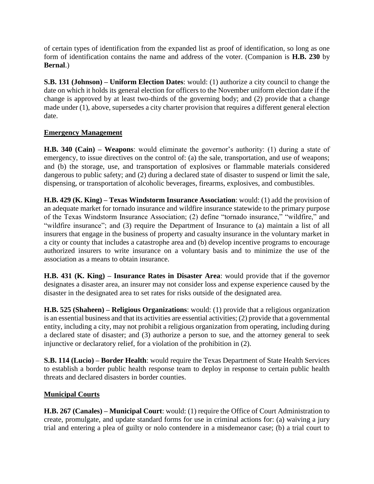of certain types of identification from the expanded list as proof of identification, so long as one form of identification contains the name and address of the voter. (Companion is **H.B. 230** by **Bernal**.)

**S.B. 131 (Johnson) – Uniform Election Dates**: would: (1) authorize a city council to change the date on which it holds its general election for officers to the November uniform election date if the change is approved by at least two-thirds of the governing body; and (2) provide that a change made under (1), above, supersedes a city charter provision that requires a different general election date.

## **Emergency Management**

**H.B. 340 (Cain) – Weapons**: would eliminate the governor's authority: (1) during a state of emergency, to issue directives on the control of: (a) the sale, transportation, and use of weapons; and (b) the storage, use, and transportation of explosives or flammable materials considered dangerous to public safety; and (2) during a declared state of disaster to suspend or limit the sale, dispensing, or transportation of alcoholic beverages, firearms, explosives, and combustibles.

**H.B. 429 (K. King) – Texas Windstorm Insurance Association**: would: (1) add the provision of an adequate market for tornado insurance and wildfire insurance statewide to the primary purpose of the Texas Windstorm Insurance Association; (2) define "tornado insurance," "wildfire," and "wildfire insurance"; and (3) require the Department of Insurance to (a) maintain a list of all insurers that engage in the business of property and casualty insurance in the voluntary market in a city or county that includes a catastrophe area and (b) develop incentive programs to encourage authorized insurers to write insurance on a voluntary basis and to minimize the use of the association as a means to obtain insurance.

**H.B. 431 (K. King) – Insurance Rates in Disaster Area**: would provide that if the governor designates a disaster area, an insurer may not consider loss and expense experience caused by the disaster in the designated area to set rates for risks outside of the designated area.

**H.B. 525 (Shaheen) – Religious Organizations**: would: (1) provide that a religious organization is an essential business and that its activities are essential activities; (2) provide that a governmental entity, including a city, may not prohibit a religious organization from operating, including during a declared state of disaster; and (3) authorize a person to sue, and the attorney general to seek injunctive or declaratory relief, for a violation of the prohibition in (2).

**S.B. 114 (Lucio) – Border Health**: would require the Texas Department of State Health Services to establish a border public health response team to deploy in response to certain public health threats and declared disasters in border counties.

## **Municipal Courts**

**H.B. 267 (Canales) – Municipal Court**: would: (1) require the Office of Court Administration to create, promulgate, and update standard forms for use in criminal actions for: (a) waiving a jury trial and entering a plea of guilty or nolo contendere in a misdemeanor case; (b) a trial court to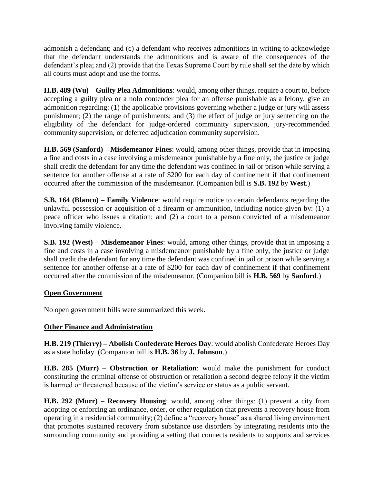admonish a defendant; and (c) a defendant who receives admonitions in writing to acknowledge that the defendant understands the admonitions and is aware of the consequences of the defendant's plea; and (2) provide that the Texas Supreme Court by rule shall set the date by which all courts must adopt and use the forms.

**H.B. 489 (Wu) – Guilty Plea Admonitions**: would, among other things, require a court to, before accepting a guilty plea or a nolo contender plea for an offense punishable as a felony, give an admonition regarding: (1) the applicable provisions governing whether a judge or jury will assess punishment; (2) the range of punishments; and (3) the effect of judge or jury sentencing on the eligibility of the defendant for judge-ordered community supervision, jury-recommended community supervision, or deferred adjudication community supervision.

**H.B. 569 (Sanford) – Misdemeanor Fines**: would, among other things, provide that in imposing a fine and costs in a case involving a misdemeanor punishable by a fine only, the justice or judge shall credit the defendant for any time the defendant was confined in jail or prison while serving a sentence for another offense at a rate of \$200 for each day of confinement if that confinement occurred after the commission of the misdemeanor. (Companion bill is **S.B. 192** by **West**.)

**S.B. 164 (Blanco) – Family Violence**: would require notice to certain defendants regarding the unlawful possession or acquisition of a firearm or ammunition, including notice given by: (1) a peace officer who issues a citation; and (2) a court to a person convicted of a misdemeanor involving family violence.

**S.B. 192 (West) – Misdemeanor Fines**: would, among other things, provide that in imposing a fine and costs in a case involving a misdemeanor punishable by a fine only, the justice or judge shall credit the defendant for any time the defendant was confined in jail or prison while serving a sentence for another offense at a rate of \$200 for each day of confinement if that confinement occurred after the commission of the misdemeanor. (Companion bill is **H.B. 569** by **Sanford**.)

## **Open Government**

No open government bills were summarized this week.

## **Other Finance and Administration**

**H.B. 219 (Thierry) – Abolish Confederate Heroes Day**: would abolish Confederate Heroes Day as a state holiday. (Companion bill is **H.B. 36** by **J. Johnson**.)

**H.B. 285 (Murr) – Obstruction or Retaliation**: would make the punishment for conduct constituting the criminal offense of obstruction or retaliation a second degree felony if the victim is harmed or threatened because of the victim's service or status as a public servant.

**H.B. 292 (Murr) – Recovery Housing**: would, among other things: (1) prevent a city from adopting or enforcing an ordinance, order, or other regulation that prevents a recovery house from operating in a residential community; (2) define a "recovery house" as a shared living environment that promotes sustained recovery from substance use disorders by integrating residents into the surrounding community and providing a setting that connects residents to supports and services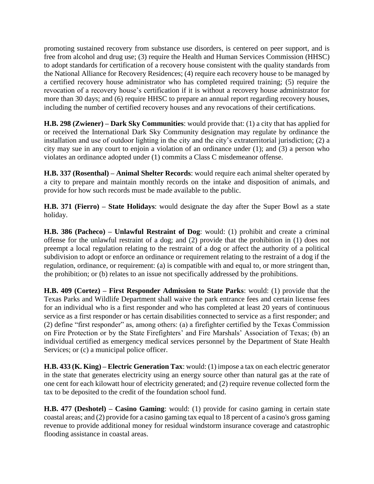promoting sustained recovery from substance use disorders, is centered on peer support, and is free from alcohol and drug use; (3) require the Health and Human Services Commission (HHSC) to adopt standards for certification of a recovery house consistent with the quality standards from the National Alliance for Recovery Residences; (4) require each recovery house to be managed by a certified recovery house administrator who has completed required training; (5) require the revocation of a recovery house's certification if it is without a recovery house administrator for more than 30 days; and (6) require HHSC to prepare an annual report regarding recovery houses, including the number of certified recovery houses and any revocations of their certifications.

**H.B. 298 (Zwiener) – Dark Sky Communities**: would provide that: (1) a city that has applied for or received the International Dark Sky Community designation may regulate by ordinance the installation and use of outdoor lighting in the city and the city's extraterritorial jurisdiction; (2) a city may sue in any court to enjoin a violation of an ordinance under (1); and (3) a person who violates an ordinance adopted under (1) commits a Class C misdemeanor offense.

**H.B. 337 (Rosenthal) – Animal Shelter Records**: would require each animal shelter operated by a city to prepare and maintain monthly records on the intake and disposition of animals, and provide for how such records must be made available to the public.

**H.B. 371 (Fierro) – State Holidays**: would designate the day after the Super Bowl as a state holiday.

**H.B. 386 (Pacheco) – Unlawful Restraint of Dog**: would: (1) prohibit and create a criminal offense for the unlawful restraint of a dog; and (2) provide that the prohibition in (1) does not preempt a local regulation relating to the restraint of a dog or affect the authority of a political subdivision to adopt or enforce an ordinance or requirement relating to the restraint of a dog if the regulation, ordinance, or requirement: (a) is compatible with and equal to, or more stringent than, the prohibition; or (b) relates to an issue not specifically addressed by the prohibitions.

**H.B. 409 (Cortez) – First Responder Admission to State Parks**: would: (1) provide that the Texas Parks and Wildlife Department shall waive the park entrance fees and certain license fees for an individual who is a first responder and who has completed at least 20 years of continuous service as a first responder or has certain disabilities connected to service as a first responder; and (2) define "first responder" as, among others: (a) a firefighter certified by the Texas Commission on Fire Protection or by the State Firefighters' and Fire Marshals' Association of Texas; (b) an individual certified as emergency medical services personnel by the Department of State Health Services; or  $(c)$  a municipal police officer.

**H.B. 433 (K. King) – Electric Generation Tax**: would: (1) impose a tax on each electric generator in the state that generates electricity using an energy source other than natural gas at the rate of one cent for each kilowatt hour of electricity generated; and (2) require revenue collected form the tax to be deposited to the credit of the foundation school fund.

**H.B. 477 (Deshotel) – Casino Gaming**: would: (1) provide for casino gaming in certain state coastal areas; and (2) provide for a casino gaming tax equal to 18 percent of a casino's gross gaming revenue to provide additional money for residual windstorm insurance coverage and catastrophic flooding assistance in coastal areas.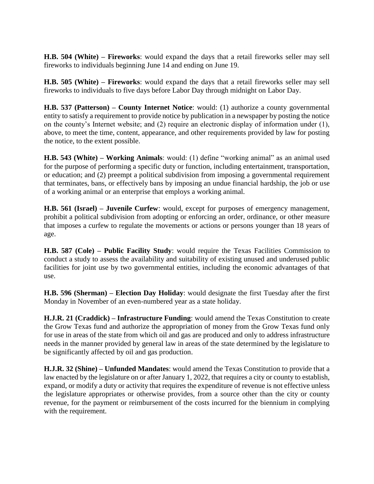**H.B. 504 (White) – Fireworks**: would expand the days that a retail fireworks seller may sell fireworks to individuals beginning June 14 and ending on June 19.

**H.B. 505 (White) – Fireworks**: would expand the days that a retail fireworks seller may sell fireworks to individuals to five days before Labor Day through midnight on Labor Day.

**H.B. 537 (Patterson) – County Internet Notice**: would: (1) authorize a county governmental entity to satisfy a requirement to provide notice by publication in a newspaper by posting the notice on the county's Internet website; and (2) require an electronic display of information under (1), above, to meet the time, content, appearance, and other requirements provided by law for posting the notice, to the extent possible.

**H.B. 543 (White) – Working Animals**: would: (1) define "working animal" as an animal used for the purpose of performing a specific duty or function, including entertainment, transportation, or education; and (2) preempt a political subdivision from imposing a governmental requirement that terminates, bans, or effectively bans by imposing an undue financial hardship, the job or use of a working animal or an enterprise that employs a working animal.

**H.B. 561 (Israel) – Juvenile Curfew**: would, except for purposes of emergency management, prohibit a political subdivision from adopting or enforcing an order, ordinance, or other measure that imposes a curfew to regulate the movements or actions or persons younger than 18 years of age.

**H.B. 587 (Cole) – Public Facility Study**: would require the Texas Facilities Commission to conduct a study to assess the availability and suitability of existing unused and underused public facilities for joint use by two governmental entities, including the economic advantages of that use.

**H.B. 596 (Sherman) – Election Day Holiday**: would designate the first Tuesday after the first Monday in November of an even-numbered year as a state holiday.

**H.J.R. 21 (Craddick) – Infrastructure Funding**: would amend the Texas Constitution to create the Grow Texas fund and authorize the appropriation of money from the Grow Texas fund only for use in areas of the state from which oil and gas are produced and only to address infrastructure needs in the manner provided by general law in areas of the state determined by the legislature to be significantly affected by oil and gas production.

**H.J.R. 32 (Shine) – Unfunded Mandates**: would amend the Texas Constitution to provide that a law enacted by the legislature on or after January 1, 2022, that requires a city or county to establish, expand, or modify a duty or activity that requires the expenditure of revenue is not effective unless the legislature appropriates or otherwise provides, from a source other than the city or county revenue, for the payment or reimbursement of the costs incurred for the biennium in complying with the requirement.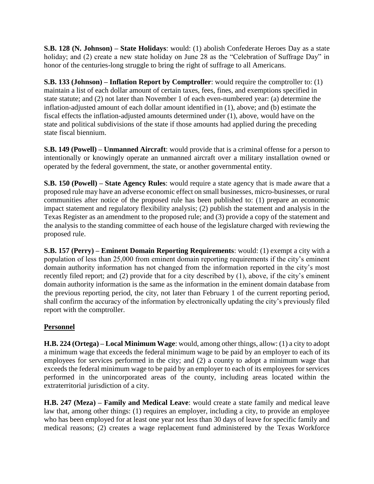**S.B. 128 (N. Johnson) – State Holidays**: would: (1) abolish Confederate Heroes Day as a state holiday; and (2) create a new state holiday on June 28 as the "Celebration of Suffrage Day" in honor of the centuries-long struggle to bring the right of suffrage to all Americans.

**S.B. 133 (Johnson) – Inflation Report by Comptroller**: would require the comptroller to: (1) maintain a list of each dollar amount of certain taxes, fees, fines, and exemptions specified in state statute; and (2) not later than November 1 of each even-numbered year: (a) determine the inflation-adjusted amount of each dollar amount identified in (1), above; and (b) estimate the fiscal effects the inflation-adjusted amounts determined under (1), above, would have on the state and political subdivisions of the state if those amounts had applied during the preceding state fiscal biennium.

**S.B. 149 (Powell) – Unmanned Aircraft**: would provide that is a criminal offense for a person to intentionally or knowingly operate an unmanned aircraft over a military installation owned or operated by the federal government, the state, or another governmental entity.

**S.B. 150 (Powell) – State Agency Rules**: would require a state agency that is made aware that a proposed rule may have an adverse economic effect on small businesses, micro-businesses, or rural communities after notice of the proposed rule has been published to: (1) prepare an economic impact statement and regulatory flexibility analysis; (2) publish the statement and analysis in the Texas Register as an amendment to the proposed rule; and (3) provide a copy of the statement and the analysis to the standing committee of each house of the legislature charged with reviewing the proposed rule.

**S.B. 157 (Perry) – Eminent Domain Reporting Requirements**: would: (1) exempt a city with a population of less than 25,000 from eminent domain reporting requirements if the city's eminent domain authority information has not changed from the information reported in the city's most recently filed report; and (2) provide that for a city described by (1), above, if the city's eminent domain authority information is the same as the information in the eminent domain database from the previous reporting period, the city, not later than February 1 of the current reporting period, shall confirm the accuracy of the information by electronically updating the city's previously filed report with the comptroller.

## **Personnel**

**H.B. 224 (Ortega) – Local Minimum Wage**: would, among other things, allow: (1) a city to adopt a minimum wage that exceeds the federal minimum wage to be paid by an employer to each of its employees for services performed in the city; and (2) a county to adopt a minimum wage that exceeds the federal minimum wage to be paid by an employer to each of its employees for services performed in the unincorporated areas of the county, including areas located within the extraterritorial jurisdiction of a city.

**H.B. 247 (Meza) – Family and Medical Leave**: would create a state family and medical leave law that, among other things: (1) requires an employer, including a city, to provide an employee who has been employed for at least one year not less than 30 days of leave for specific family and medical reasons; (2) creates a wage replacement fund administered by the Texas Workforce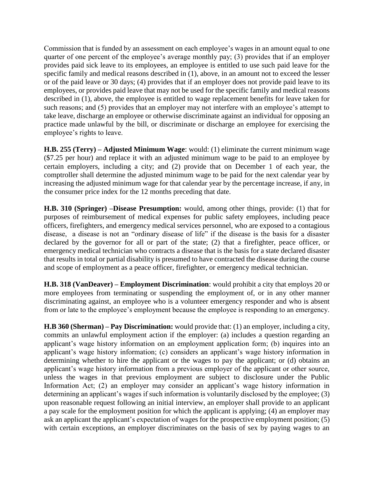Commission that is funded by an assessment on each employee's wages in an amount equal to one quarter of one percent of the employee's average monthly pay; (3) provides that if an employer provides paid sick leave to its employees, an employee is entitled to use such paid leave for the specific family and medical reasons described in (1), above, in an amount not to exceed the lesser or of the paid leave or 30 days; (4) provides that if an employer does not provide paid leave to its employees, or provides paid leave that may not be used for the specific family and medical reasons described in (1), above, the employee is entitled to wage replacement benefits for leave taken for such reasons; and (5) provides that an employer may not interfere with an employee's attempt to take leave, discharge an employee or otherwise discriminate against an individual for opposing an practice made unlawful by the bill, or discriminate or discharge an employee for exercising the employee's rights to leave.

**H.B. 255 (Terry) – Adjusted Minimum Wage**: would: (1) eliminate the current minimum wage (\$7.25 per hour) and replace it with an adjusted minimum wage to be paid to an employee by certain employers, including a city; and (2) provide that on December 1 of each year, the comptroller shall determine the adjusted minimum wage to be paid for the next calendar year by increasing the adjusted minimum wage for that calendar year by the percentage increase, if any, in the consumer price index for the 12 months preceding that date.

**H.B. 310 (Springer) –Disease Presumption:** would, among other things, provide: (1) that for purposes of reimbursement of medical expenses for public safety employees, including peace officers, firefighters, and emergency medical services personnel, who are exposed to a contagious disease, a disease is not an "ordinary disease of life" if the disease is the basis for a disaster declared by the governor for all or part of the state; (2) that a firefighter, peace officer, or emergency medical technician who contracts a disease that is the basis for a state declared disaster that results in total or partial disability is presumed to have contracted the disease during the course and scope of employment as a peace officer, firefighter, or emergency medical technician.

**H.B. 318 (VanDeaver) – Employment Discrimination**: would prohibit a city that employs 20 or more employees from terminating or suspending the employment of, or in any other manner discriminating against, an employee who is a volunteer emergency responder and who is absent from or late to the employee's employment because the employee is responding to an emergency.

**H.B 360 (Sherman) – Pay Discrimination:** would provide that: (1) an employer, including a city, commits an unlawful employment action if the employer: (a) includes a question regarding an applicant's wage history information on an employment application form; (b) inquires into an applicant's wage history information; (c) considers an applicant's wage history information in determining whether to hire the applicant or the wages to pay the applicant; or (d) obtains an applicant's wage history information from a previous employer of the applicant or other source, unless the wages in that previous employment are subject to disclosure under the Public Information Act; (2) an employer may consider an applicant's wage history information in determining an applicant's wages if such information is voluntarily disclosed by the employee; (3) upon reasonable request following an initial interview, an employer shall provide to an applicant a pay scale for the employment position for which the applicant is applying; (4) an employer may ask an applicant the applicant's expectation of wages for the prospective employment position; (5) with certain exceptions, an employer discriminates on the basis of sex by paying wages to an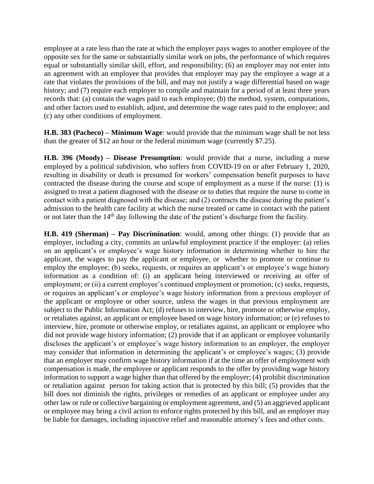employee at a rate less than the rate at which the employer pays wages to another employee of the opposite sex for the same or substantially similar work on jobs, the performance of which requires equal or substantially similar skill, effort, and responsibility; (6) an employer may not enter into an agreement with an employee that provides that employer may pay the employee a wage at a rate that violates the provisions of the bill, and may not justify a wage differential based on wage history; and (7) require each employer to compile and maintain for a period of at least three years records that: (a) contain the wages paid to each employee; (b) the method, system, computations, and other factors used to establish, adjust, and determine the wage rates paid to the employee; and (c) any other conditions of employment.

**H.B. 383 (Pacheco) – Minimum Wage**: would provide that the minimum wage shall be not less than the greater of \$12 an hour or the federal minimum wage (currently \$7.25).

**H.B. 396 (Moody) – Disease Presumption**: would provide that a nurse, including a nurse employed by a political subdivision, who suffers from COVID-19 on or after February 1, 2020, resulting in disability or death is presumed for workers' compensation benefit purposes to have contracted the disease during the course and scope of employment as a nurse if the nurse: (1) is assigned to treat a patient diagnosed with the disease or to duties that require the nurse to come in contact with a patient diagnosed with the disease; and (2) contracts the disease during the patient's admission to the health care facility at which the nurse treated or came in contact with the patient or not later than the 14<sup>th</sup> day following the date of the patient's discharge from the facility.

**H.B. 419 (Sherman) – Pay Discrimination**: would, among other things: (1) provide that an employer, including a city, commits an unlawful employment practice if the employer: (a) relies on an applicant's or employee's wage history information in determining whether to hire the applicant, the wages to pay the applicant or employee, or whether to promote or continue to employ the employee; (b) seeks, requests, or requires an applicant's or employee's wage history information as a condition of: (i) an applicant being interviewed or receiving an offer of employment; or (ii) a current employee's continued employment or promotion; (c) seeks, requests, or requires an applicant's or employee's wage history information from a previous employer of the applicant or employee or other source, unless the wages in that previous employment are subject to the Public Information Act; (d) refuses to interview, hire, promote or otherwise employ, or retaliates against, an applicant or employee based on wage history information; or (e) refuses to interview, hire, promote or otherwise employ, or retaliates against, an applicant or employee who did not provide wage history information; (2) provide that if an applicant or employee voluntarily discloses the applicant's or employee's wage history information to an employer, the employer may consider that information in determining the applicant's or employee's wages; (3) provide that an employer may confirm wage history information if at the time an offer of employment with compensation is made, the employee or applicant responds to the offer by providing wage history information to support a wage higher than that offered by the employer; (4) prohibit discrimination or retaliation against person for taking action that is protected by this bill; (5) provides that the bill does not diminish the rights, privileges or remedies of an applicant or employee under any other law or rule or collective bargaining or employment agreement, and (5) an aggrieved applicant or employee may bring a civil action to enforce rights protected by this bill, and an employer may be liable for damages, including injunctive relief and reasonable attorney's fees and other costs.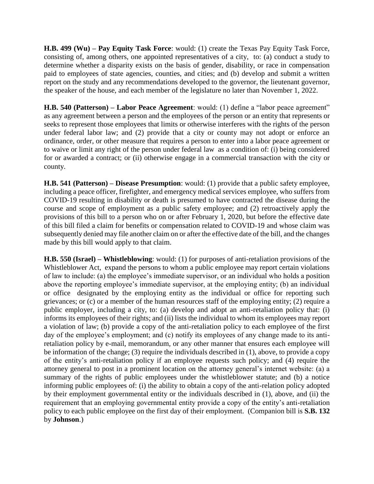**H.B. 499 (Wu) – Pay Equity Task Force**: would: (1) create the Texas Pay Equity Task Force, consisting of, among others, one appointed representatives of a city, to: (a) conduct a study to determine whether a disparity exists on the basis of gender, disability, or race in compensation paid to employees of state agencies, counties, and cities; and (b) develop and submit a written report on the study and any recommendations developed to the governor, the lieutenant governor, the speaker of the house, and each member of the legislature no later than November 1, 2022.

**H.B. 540 (Patterson) – Labor Peace Agreement**: would: (1) define a "labor peace agreement" as any agreement between a person and the employees of the person or an entity that represents or seeks to represent those employees that limits or otherwise interferes with the rights of the person under federal labor law; and (2) provide that a city or county may not adopt or enforce an ordinance, order, or other measure that requires a person to enter into a labor peace agreement or to waive or limit any right of the person under federal law as a condition of: (i) being considered for or awarded a contract; or (ii) otherwise engage in a commercial transaction with the city or county.

**H.B. 541 (Patterson) – Disease Presumption**: would: (1) provide that a public safety employee, including a peace officer, firefighter, and emergency medical services employee, who suffers from COVID-19 resulting in disability or death is presumed to have contracted the disease during the course and scope of employment as a public safety employee; and (2) retroactively apply the provisions of this bill to a person who on or after February 1, 2020, but before the effective date of this bill filed a claim for benefits or compensation related to COVID-19 and whose claim was subsequently denied may file another claim on or after the effective date of the bill, and the changes made by this bill would apply to that claim.

**H.B. 550 (Israel) – Whistleblowing**: would: (1) for purposes of anti-retaliation provisions of the Whistleblower Act, expand the persons to whom a public employee may report certain violations of law to include: (a) the employee's immediate supervisor, or an individual who holds a position above the reporting employee's immediate supervisor, at the employing entity; (b) an individual or office designated by the employing entity as the individual or office for reporting such grievances; or (c) or a member of the human resources staff of the employing entity; (2) require a public employer, including a city, to: (a) develop and adopt an anti-retaliation policy that: (i) informs its employees of their rights; and (ii) lists the individual to whom its employees may report a violation of law; (b) provide a copy of the anti-retaliation policy to each employee of the first day of the employee's employment; and (c) notify its employees of any change made to its antiretaliation policy by e-mail, memorandum, or any other manner that ensures each employee will be information of the change; (3) require the individuals described in (1), above, to provide a copy of the entity's anti-retaliation policy if an employee requests such policy; and (4) require the attorney general to post in a prominent location on the attorney general's internet website: (a) a summary of the rights of public employees under the whistleblower statute; and (b) a notice informing public employees of: (i) the ability to obtain a copy of the anti-relation policy adopted by their employment governmental entity or the individuals described in (1), above, and (ii) the requirement that an employing governmental entity provide a copy of the entity's anti-retaliation policy to each public employee on the first day of their employment. (Companion bill is **S.B. 132** by **Johnson**.)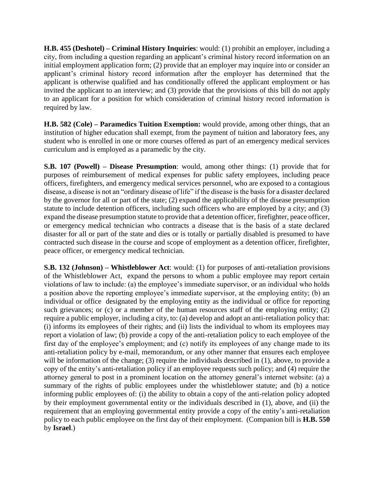**H.B. 455 (Deshotel) – Criminal History Inquiries**: would: (1) prohibit an employer, including a city, from including a question regarding an applicant's criminal history record information on an initial employment application form; (2) provide that an employer may inquire into or consider an applicant's criminal history record information after the employer has determined that the applicant is otherwise qualified and has conditionally offered the applicant employment or has invited the applicant to an interview; and (3) provide that the provisions of this bill do not apply to an applicant for a position for which consideration of criminal history record information is required by law.

**H.B. 582 (Cole) – Paramedics Tuition Exemption:** would provide, among other things, that an institution of higher education shall exempt, from the payment of tuition and laboratory fees, any student who is enrolled in one or more courses offered as part of an emergency medical services curriculum and is employed as a paramedic by the city.

**S.B. 107 (Powell) – Disease Presumption**: would, among other things: (1) provide that for purposes of reimbursement of medical expenses for public safety employees, including peace officers, firefighters, and emergency medical services personnel, who are exposed to a contagious disease, a disease is not an "ordinary disease of life" if the disease is the basis for a disaster declared by the governor for all or part of the state; (2) expand the applicability of the disease presumption statute to include detention officers, including such officers who are employed by a city; and (3) expand the disease presumption statute to provide that a detention officer, firefighter, peace officer, or emergency medical technician who contracts a disease that is the basis of a state declared disaster for all or part of the state and dies or is totally or partially disabled is presumed to have contracted such disease in the course and scope of employment as a detention officer, firefighter, peace officer, or emergency medical technician.

**S.B. 132 (Johnson) – Whistleblower Act**: would: (1) for purposes of anti-retaliation provisions of the Whistleblower Act, expand the persons to whom a public employee may report certain violations of law to include: (a) the employee's immediate supervisor, or an individual who holds a position above the reporting employee's immediate supervisor, at the employing entity; (b) an individual or office designated by the employing entity as the individual or office for reporting such grievances; or (c) or a member of the human resources staff of the employing entity; (2) require a public employer, including a city, to: (a) develop and adopt an anti-retaliation policy that: (i) informs its employees of their rights; and (ii) lists the individual to whom its employees may report a violation of law; (b) provide a copy of the anti-retaliation policy to each employee of the first day of the employee's employment; and (c) notify its employees of any change made to its anti-retaliation policy by e-mail, memorandum, or any other manner that ensures each employee will be information of the change; (3) require the individuals described in (1), above, to provide a copy of the entity's anti-retaliation policy if an employee requests such policy; and (4) require the attorney general to post in a prominent location on the attorney general's internet website: (a) a summary of the rights of public employees under the whistleblower statute; and (b) a notice informing public employees of: (i) the ability to obtain a copy of the anti-relation policy adopted by their employment governmental entity or the individuals described in (1), above, and (ii) the requirement that an employing governmental entity provide a copy of the entity's anti-retaliation policy to each public employee on the first day of their employment. (Companion bill is **H.B. 550** by **Israel**.)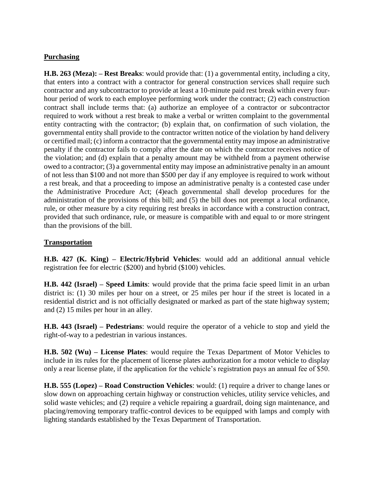## **Purchasing**

**H.B. 263 (Meza): – Rest Breaks**: would provide that: (1) a governmental entity, including a city, that enters into a contract with a contractor for general construction services shall require such contractor and any subcontractor to provide at least a 10-minute paid rest break within every fourhour period of work to each employee performing work under the contract; (2) each construction contract shall include terms that: (a) authorize an employee of a contractor or subcontractor required to work without a rest break to make a verbal or written complaint to the governmental entity contracting with the contractor; (b) explain that, on confirmation of such violation, the governmental entity shall provide to the contractor written notice of the violation by hand delivery or certified mail; (c) inform a contractor that the governmental entity may impose an administrative penalty if the contractor fails to comply after the date on which the contractor receives notice of the violation; and (d) explain that a penalty amount may be withheld from a payment otherwise owed to a contractor; (3) a governmental entity may impose an administrative penalty in an amount of not less than \$100 and not more than \$500 per day if any employee is required to work without a rest break, and that a proceeding to impose an administrative penalty is a contested case under the Administrative Procedure Act; (4)each governmental shall develop procedures for the administration of the provisions of this bill; and (5) the bill does not preempt a local ordinance, rule, or other measure by a city requiring rest breaks in accordance with a construction contract, provided that such ordinance, rule, or measure is compatible with and equal to or more stringent than the provisions of the bill.

## **Transportation**

**H.B. 427 (K. King) – Electric/Hybrid Vehicles**: would add an additional annual vehicle registration fee for electric (\$200) and hybrid (\$100) vehicles.

**H.B. 442 (Israel) – Speed Limits**: would provide that the prima facie speed limit in an urban district is: (1) 30 miles per hour on a street, or 25 miles per hour if the street is located in a residential district and is not officially designated or marked as part of the state highway system; and (2) 15 miles per hour in an alley.

**H.B. 443 (Israel) – Pedestrians**: would require the operator of a vehicle to stop and yield the right-of-way to a pedestrian in various instances.

**H.B. 502 (Wu) – License Plates**: would require the Texas Department of Motor Vehicles to include in its rules for the placement of license plates authorization for a motor vehicle to display only a rear license plate, if the application for the vehicle's registration pays an annual fee of \$50.

**H.B. 555 (Lopez) – Road Construction Vehicles**: would: (1) require a driver to change lanes or slow down on approaching certain highway or construction vehicles, utility service vehicles, and solid waste vehicles; and (2) require a vehicle repairing a guardrail, doing sign maintenance, and placing/removing temporary traffic-control devices to be equipped with lamps and comply with lighting standards established by the Texas Department of Transportation.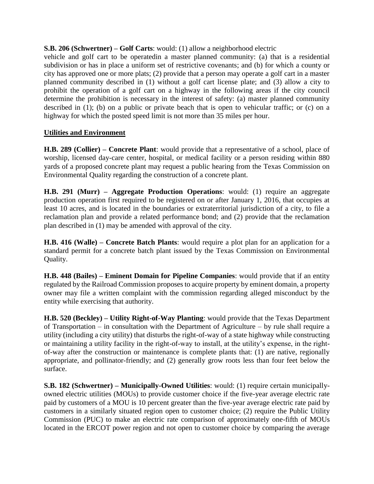**S.B. 206 (Schwertner) – Golf Carts**: would: (1) allow a neighborhood electric

vehicle and golf cart to be operatedin a master planned community: (a) that is a residential subdivision or has in place a uniform set of restrictive covenants; and (b) for which a county or city has approved one or more plats; (2) provide that a person may operate a golf cart in a master planned community described in (1) without a golf cart license plate; and (3) allow a city to prohibit the operation of a golf cart on a highway in the following areas if the city council determine the prohibition is necessary in the interest of safety: (a) master planned community described in (1); (b) on a public or private beach that is open to vehicular traffic; or (c) on a highway for which the posted speed limit is not more than 35 miles per hour.

## **Utilities and Environment**

**H.B. 289 (Collier) – Concrete Plant**: would provide that a representative of a school, place of worship, licensed day-care center, hospital, or medical facility or a person residing within 880 yards of a proposed concrete plant may request a public hearing from the Texas Commission on Environmental Quality regarding the construction of a concrete plant.

**H.B. 291 (Murr) – Aggregate Production Operations**: would: (1) require an aggregate production operation first required to be registered on or after January 1, 2016, that occupies at least 10 acres, and is located in the boundaries or extraterritorial jurisdiction of a city, to file a reclamation plan and provide a related performance bond; and (2) provide that the reclamation plan described in (1) may be amended with approval of the city.

**H.B. 416 (Walle) – Concrete Batch Plants**: would require a plot plan for an application for a standard permit for a concrete batch plant issued by the Texas Commission on Environmental Quality.

**H.B. 448 (Bailes) – Eminent Domain for Pipeline Companies**: would provide that if an entity regulated by the Railroad Commission proposes to acquire property by eminent domain, a property owner may file a written complaint with the commission regarding alleged misconduct by the entity while exercising that authority.

**H.B. 520 (Beckley) – Utility Right-of-Way Planting**: would provide that the Texas Department of Transportation – in consultation with the Department of Agriculture – by rule shall require a utility (including a city utility) that disturbs the right-of-way of a state highway while constructing or maintaining a utility facility in the right-of-way to install, at the utility's expense, in the rightof-way after the construction or maintenance is complete plants that: (1) are native, regionally appropriate, and pollinator-friendly; and (2) generally grow roots less than four feet below the surface.

**S.B. 182 (Schwertner) – Municipally-Owned Utilities**: would: (1) require certain municipallyowned electric utilities (MOUs) to provide customer choice if the five-year average electric rate paid by customers of a MOU is 10 percent greater than the five-year average electric rate paid by customers in a similarly situated region open to customer choice; (2) require the Public Utility Commission (PUC) to make an electric rate comparison of approximately one-fifth of MOUs located in the ERCOT power region and not open to customer choice by comparing the average